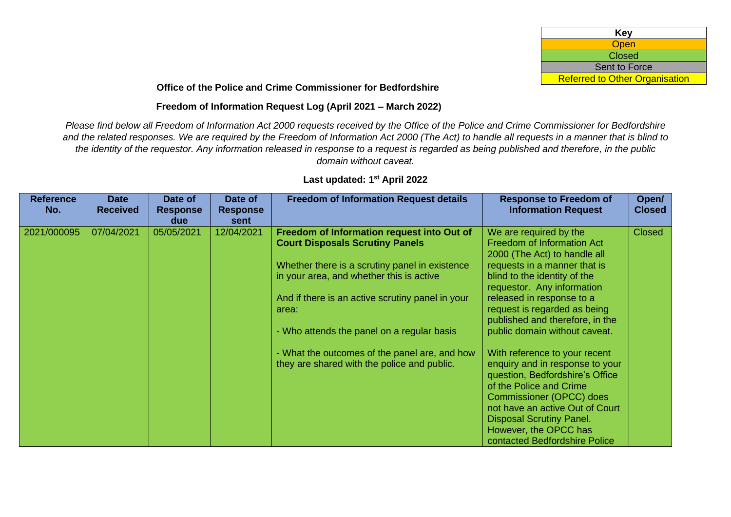| Key                                   |
|---------------------------------------|
| <b>Open</b>                           |
| <b>Closed</b>                         |
| <b>Sent to Force</b>                  |
| <b>Referred to Other Organisation</b> |

## **Office of the Police and Crime Commissioner for Bedfordshire**

## **Freedom of Information Request Log (April 2021 – March 2022)**

*Please find below all Freedom of Information Act 2000 requests received by the Office of the Police and Crime Commissioner for Bedfordshire and the related responses. We are required by the Freedom of Information Act 2000 (The Act) to handle all requests in a manner that is blind to the identity of the requestor. Any information released in response to a request is regarded as being published and therefore, in the public domain without caveat.* 

| <b>Reference</b><br>No. | <b>Date</b><br><b>Received</b> | Date of<br><b>Response</b><br>due | Date of<br><b>Response</b><br>sent | <b>Freedom of Information Request details</b>                                                                                                                                                                                                                                                                                                                                                 | <b>Response to Freedom of</b><br><b>Information Request</b>                                                                                                                                                                                                                                                                                                                                                                                                                                                                                                    | Open/<br><b>Closed</b> |
|-------------------------|--------------------------------|-----------------------------------|------------------------------------|-----------------------------------------------------------------------------------------------------------------------------------------------------------------------------------------------------------------------------------------------------------------------------------------------------------------------------------------------------------------------------------------------|----------------------------------------------------------------------------------------------------------------------------------------------------------------------------------------------------------------------------------------------------------------------------------------------------------------------------------------------------------------------------------------------------------------------------------------------------------------------------------------------------------------------------------------------------------------|------------------------|
| 2021/000095             | 07/04/2021                     | 05/05/2021                        | 12/04/2021                         | Freedom of Information request into Out of<br><b>Court Disposals Scrutiny Panels</b><br>Whether there is a scrutiny panel in existence<br>in your area, and whether this is active<br>And if there is an active scrutiny panel in your<br>area:<br>- Who attends the panel on a regular basis<br>- What the outcomes of the panel are, and how<br>they are shared with the police and public. | We are required by the<br><b>Freedom of Information Act</b><br>2000 (The Act) to handle all<br>requests in a manner that is<br>blind to the identity of the<br>requestor. Any information<br>released in response to a<br>request is regarded as being<br>published and therefore, in the<br>public domain without caveat.<br>With reference to your recent<br>enquiry and in response to your<br>question, Bedfordshire's Office<br>of the Police and Crime<br>Commissioner (OPCC) does<br>not have an active Out of Court<br><b>Disposal Scrutiny Panel.</b> | <b>Closed</b>          |
|                         |                                |                                   |                                    |                                                                                                                                                                                                                                                                                                                                                                                               | However, the OPCC has<br>contacted Bedfordshire Police                                                                                                                                                                                                                                                                                                                                                                                                                                                                                                         |                        |

## **Last updated: 1 st April 2022**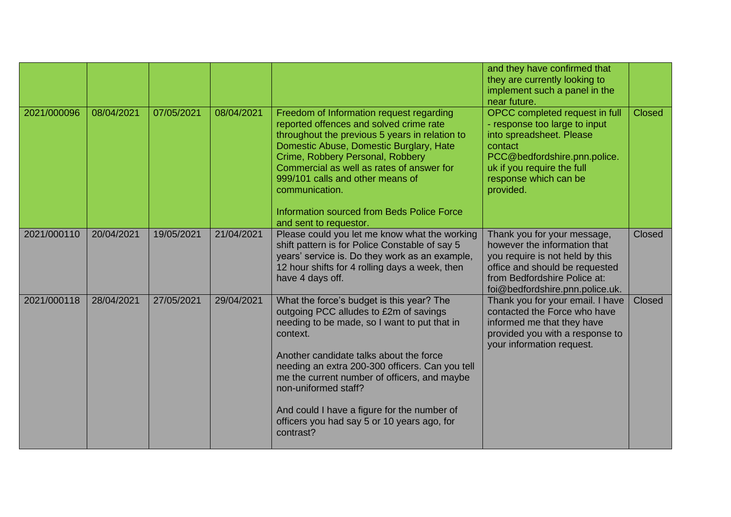|             |            |            |            |                                                                                                                                                                                                                                                                                                                                                                                                                                  | and they have confirmed that<br>they are currently looking to<br>implement such a panel in the<br>near future.                                                                                             |               |
|-------------|------------|------------|------------|----------------------------------------------------------------------------------------------------------------------------------------------------------------------------------------------------------------------------------------------------------------------------------------------------------------------------------------------------------------------------------------------------------------------------------|------------------------------------------------------------------------------------------------------------------------------------------------------------------------------------------------------------|---------------|
| 2021/000096 | 08/04/2021 | 07/05/2021 | 08/04/2021 | Freedom of Information request regarding<br>reported offences and solved crime rate<br>throughout the previous 5 years in relation to<br>Domestic Abuse, Domestic Burglary, Hate<br>Crime, Robbery Personal, Robbery<br>Commercial as well as rates of answer for<br>999/101 calls and other means of<br>communication.<br>Information sourced from Beds Police Force<br>and sent to requestor.                                  | OPCC completed request in full<br>- response too large to input<br>into spreadsheet. Please<br>contact<br>PCC@bedfordshire.pnn.police.<br>uk if you require the full<br>response which can be<br>provided. | <b>Closed</b> |
| 2021/000110 | 20/04/2021 | 19/05/2021 | 21/04/2021 | Please could you let me know what the working<br>shift pattern is for Police Constable of say 5<br>years' service is. Do they work as an example,<br>12 hour shifts for 4 rolling days a week, then<br>have 4 days off.                                                                                                                                                                                                          | Thank you for your message,<br>however the information that<br>you require is not held by this<br>office and should be requested<br>from Bedfordshire Police at:<br>foi@bedfordshire.pnn.police.uk.        | Closed        |
| 2021/000118 | 28/04/2021 | 27/05/2021 | 29/04/2021 | What the force's budget is this year? The<br>outgoing PCC alludes to £2m of savings<br>needing to be made, so I want to put that in<br>context.<br>Another candidate talks about the force<br>needing an extra 200-300 officers. Can you tell<br>me the current number of officers, and maybe<br>non-uniformed staff?<br>And could I have a figure for the number of<br>officers you had say 5 or 10 years ago, for<br>contrast? | Thank you for your email. I have<br>contacted the Force who have<br>informed me that they have<br>provided you with a response to<br>your information request.                                             | <b>Closed</b> |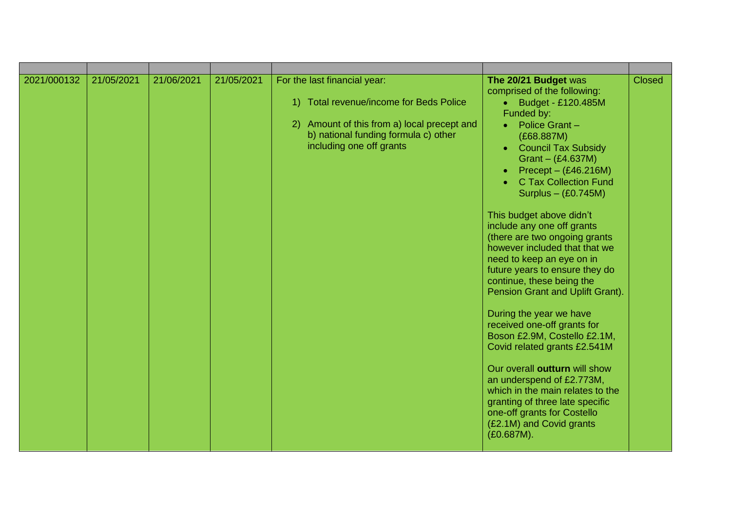| 2021/000132 | 21/05/2021 | 21/06/2021 | 21/05/2021 | For the last financial year:<br>Total revenue/income for Beds Police<br>1)<br>2) Amount of this from a) local precept and<br>b) national funding formula c) other<br>including one off grants | The 20/21 Budget was<br>comprised of the following:<br>Budget - £120.485M<br>$\bullet$<br>Funded by:<br>Police Grant-<br>$\bullet$<br>(E68.887M)<br><b>Council Tax Subsidy</b><br>$\bullet$<br>Grant $-(E4.637M)$<br>Precept $-$ (£46.216M)<br><b>C Tax Collection Fund</b><br>Surplus $-$ (£0.745M)<br>This budget above didn't<br>include any one off grants<br>(there are two ongoing grants<br>however included that that we<br>need to keep an eye on in<br>future years to ensure they do<br>continue, these being the<br>Pension Grant and Uplift Grant).<br>During the year we have<br>received one-off grants for<br>Boson £2.9M, Costello £2.1M,<br>Covid related grants £2.541M<br>Our overall outturn will show<br>an underspend of £2.773M,<br>which in the main relates to the<br>granting of three late specific<br>one-off grants for Costello<br>(£2.1M) and Covid grants<br>(£0.687M). | <b>Closed</b> |
|-------------|------------|------------|------------|-----------------------------------------------------------------------------------------------------------------------------------------------------------------------------------------------|----------------------------------------------------------------------------------------------------------------------------------------------------------------------------------------------------------------------------------------------------------------------------------------------------------------------------------------------------------------------------------------------------------------------------------------------------------------------------------------------------------------------------------------------------------------------------------------------------------------------------------------------------------------------------------------------------------------------------------------------------------------------------------------------------------------------------------------------------------------------------------------------------------|---------------|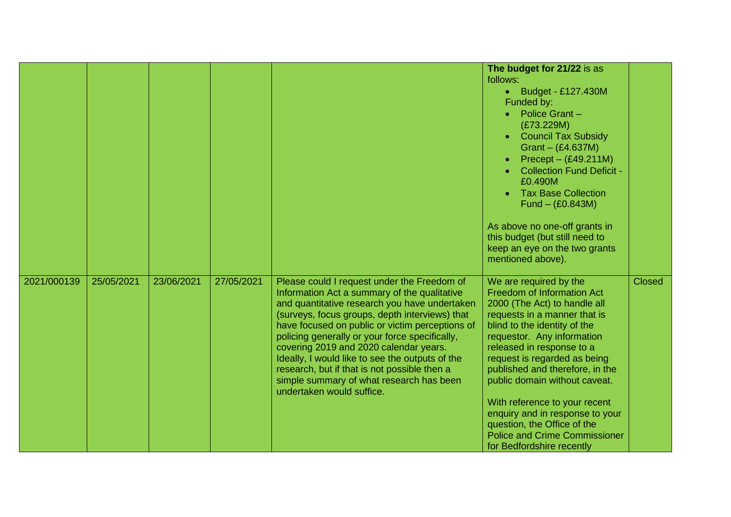|             |            |            |            |                                                                                                                                                                                                                                                                                                                                                                                                                                                                                                                           | The budget for 21/22 is as<br>follows:<br>Budget - £127.430M<br>$\bullet$<br>Funded by:<br>Police Grant-<br>(E73.229M)<br><b>Council Tax Subsidy</b><br>Grant $-$ (£4.637M)<br>$Precept - (£49.211M)$<br><b>Collection Fund Deficit -</b><br>£0.490M<br><b>Tax Base Collection</b><br>$Fund - (£0.843M)$<br>As above no one-off grants in<br>this budget (but still need to<br>keep an eye on the two grants<br>mentioned above).                                                           |               |
|-------------|------------|------------|------------|---------------------------------------------------------------------------------------------------------------------------------------------------------------------------------------------------------------------------------------------------------------------------------------------------------------------------------------------------------------------------------------------------------------------------------------------------------------------------------------------------------------------------|---------------------------------------------------------------------------------------------------------------------------------------------------------------------------------------------------------------------------------------------------------------------------------------------------------------------------------------------------------------------------------------------------------------------------------------------------------------------------------------------|---------------|
| 2021/000139 | 25/05/2021 | 23/06/2021 | 27/05/2021 | Please could I request under the Freedom of<br>Information Act a summary of the qualitative<br>and quantitative research you have undertaken<br>(surveys, focus groups, depth interviews) that<br>have focused on public or victim perceptions of<br>policing generally or your force specifically,<br>covering 2019 and 2020 calendar years.<br>Ideally, I would like to see the outputs of the<br>research, but if that is not possible then a<br>simple summary of what research has been<br>undertaken would suffice. | We are required by the<br>Freedom of Information Act<br>2000 (The Act) to handle all<br>requests in a manner that is<br>blind to the identity of the<br>requestor. Any information<br>released in response to a<br>request is regarded as being<br>published and therefore, in the<br>public domain without caveat.<br>With reference to your recent<br>enquiry and in response to your<br>question, the Office of the<br><b>Police and Crime Commissioner</b><br>for Bedfordshire recently | <b>Closed</b> |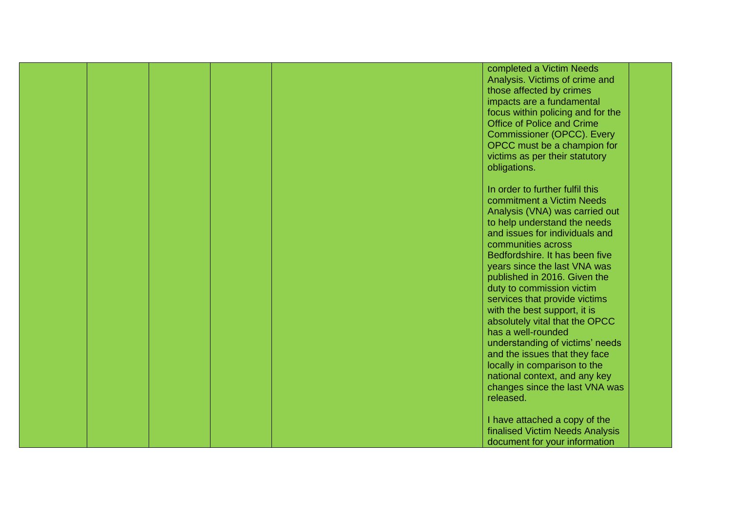|  |  | completed a Victim Needs          |  |
|--|--|-----------------------------------|--|
|  |  | Analysis. Victims of crime and    |  |
|  |  | those affected by crimes          |  |
|  |  |                                   |  |
|  |  | impacts are a fundamental         |  |
|  |  | focus within policing and for the |  |
|  |  | Office of Police and Crime        |  |
|  |  | Commissioner (OPCC). Every        |  |
|  |  | OPCC must be a champion for       |  |
|  |  | victims as per their statutory    |  |
|  |  | obligations.                      |  |
|  |  |                                   |  |
|  |  | In order to further fulfil this   |  |
|  |  |                                   |  |
|  |  | commitment a Victim Needs         |  |
|  |  | Analysis (VNA) was carried out    |  |
|  |  | to help understand the needs      |  |
|  |  | and issues for individuals and    |  |
|  |  | communities across                |  |
|  |  | Bedfordshire. It has been five    |  |
|  |  | years since the last VNA was      |  |
|  |  | published in 2016. Given the      |  |
|  |  | duty to commission victim         |  |
|  |  | services that provide victims     |  |
|  |  |                                   |  |
|  |  | with the best support, it is      |  |
|  |  | absolutely vital that the OPCC    |  |
|  |  | has a well-rounded                |  |
|  |  | understanding of victims' needs   |  |
|  |  | and the issues that they face     |  |
|  |  | locally in comparison to the      |  |
|  |  | national context, and any key     |  |
|  |  | changes since the last VNA was    |  |
|  |  | released.                         |  |
|  |  |                                   |  |
|  |  | I have attached a copy of the     |  |
|  |  |                                   |  |
|  |  | finalised Victim Needs Analysis   |  |
|  |  | document for your information     |  |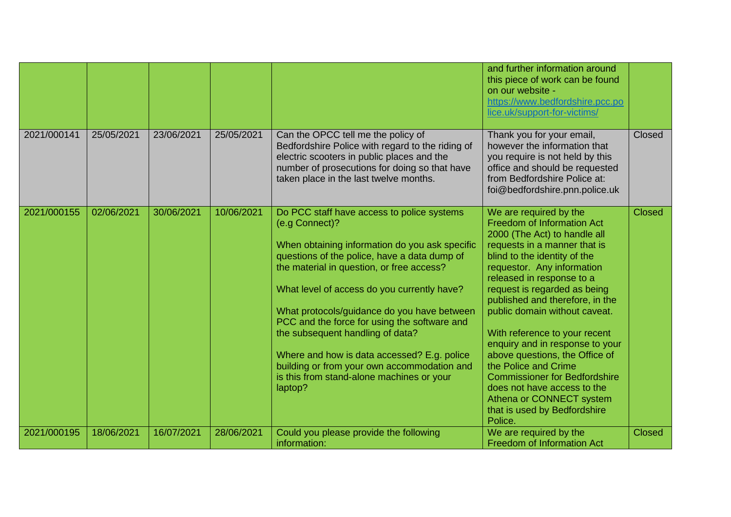|             |            |            |            |                                                                                                                                                                                                                                                                                                                                                                                                                                                                                                                                                     | and further information around<br>this piece of work can be found<br>on our website -<br>https://www.bedfordshire.pcc.po<br>lice.uk/support-for-victims/                                                                                                                                                                                                                                                                                                                                                                                                                                               |               |
|-------------|------------|------------|------------|-----------------------------------------------------------------------------------------------------------------------------------------------------------------------------------------------------------------------------------------------------------------------------------------------------------------------------------------------------------------------------------------------------------------------------------------------------------------------------------------------------------------------------------------------------|--------------------------------------------------------------------------------------------------------------------------------------------------------------------------------------------------------------------------------------------------------------------------------------------------------------------------------------------------------------------------------------------------------------------------------------------------------------------------------------------------------------------------------------------------------------------------------------------------------|---------------|
| 2021/000141 | 25/05/2021 | 23/06/2021 | 25/05/2021 | Can the OPCC tell me the policy of<br>Bedfordshire Police with regard to the riding of<br>electric scooters in public places and the<br>number of prosecutions for doing so that have<br>taken place in the last twelve months.                                                                                                                                                                                                                                                                                                                     | Thank you for your email,<br>however the information that<br>you require is not held by this<br>office and should be requested<br>from Bedfordshire Police at:<br>foi@bedfordshire.pnn.police.uk                                                                                                                                                                                                                                                                                                                                                                                                       | Closed        |
| 2021/000155 | 02/06/2021 | 30/06/2021 | 10/06/2021 | Do PCC staff have access to police systems<br>(e.g Connect)?<br>When obtaining information do you ask specific<br>questions of the police, have a data dump of<br>the material in question, or free access?<br>What level of access do you currently have?<br>What protocols/guidance do you have between<br>PCC and the force for using the software and<br>the subsequent handling of data?<br>Where and how is data accessed? E.g. police<br>building or from your own accommodation and<br>is this from stand-alone machines or your<br>laptop? | We are required by the<br><b>Freedom of Information Act</b><br>2000 (The Act) to handle all<br>requests in a manner that is<br>blind to the identity of the<br>requestor. Any information<br>released in response to a<br>request is regarded as being<br>published and therefore, in the<br>public domain without caveat.<br>With reference to your recent<br>enquiry and in response to your<br>above questions, the Office of<br>the Police and Crime<br><b>Commissioner for Bedfordshire</b><br>does not have access to the<br>Athena or CONNECT system<br>that is used by Bedfordshire<br>Police. | <b>Closed</b> |
| 2021/000195 | 18/06/2021 | 16/07/2021 | 28/06/2021 | Could you please provide the following<br>information:                                                                                                                                                                                                                                                                                                                                                                                                                                                                                              | We are required by the<br><b>Freedom of Information Act</b>                                                                                                                                                                                                                                                                                                                                                                                                                                                                                                                                            | <b>Closed</b> |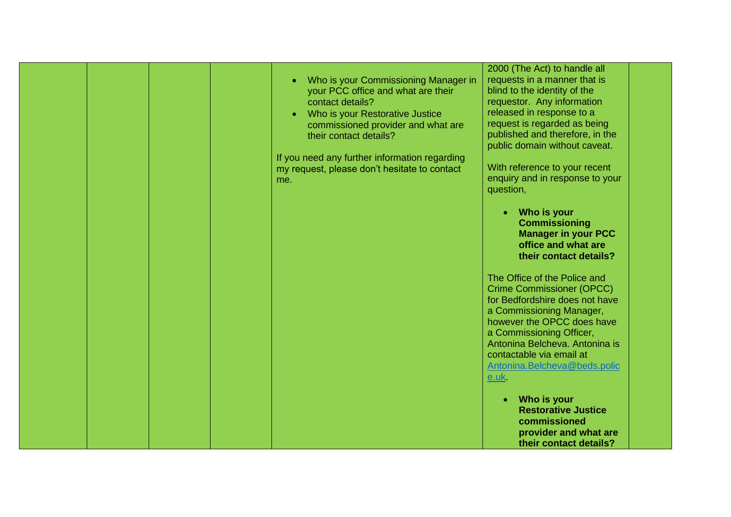|  |  | Who is your Commissioning Manager in<br>your PCC office and what are their<br>contact details?<br>Who is your Restorative Justice<br>commissioned provider and what are<br>their contact details?<br>If you need any further information regarding<br>my request, please don't hesitate to contact<br>me. | 2000 (The Act) to handle all<br>requests in a manner that is<br>blind to the identity of the<br>requestor. Any information<br>released in response to a<br>request is regarded as being<br>published and therefore, in the<br>public domain without caveat.<br>With reference to your recent<br>enquiry and in response to your<br>question,<br>Who is your<br><b>Commissioning</b><br><b>Manager in your PCC</b><br>office and what are<br>their contact details? |  |
|--|--|-----------------------------------------------------------------------------------------------------------------------------------------------------------------------------------------------------------------------------------------------------------------------------------------------------------|--------------------------------------------------------------------------------------------------------------------------------------------------------------------------------------------------------------------------------------------------------------------------------------------------------------------------------------------------------------------------------------------------------------------------------------------------------------------|--|
|  |  |                                                                                                                                                                                                                                                                                                           | The Office of the Police and<br><b>Crime Commissioner (OPCC)</b><br>for Bedfordshire does not have<br>a Commissioning Manager,<br>however the OPCC does have<br>a Commissioning Officer,<br>Antonina Belcheva. Antonina is<br>contactable via email at<br>Antonina.Belcheva@beds.polic<br>e.uk<br>Who is your<br><b>Restorative Justice</b><br>commissioned<br>provider and what are<br>their contact details?                                                     |  |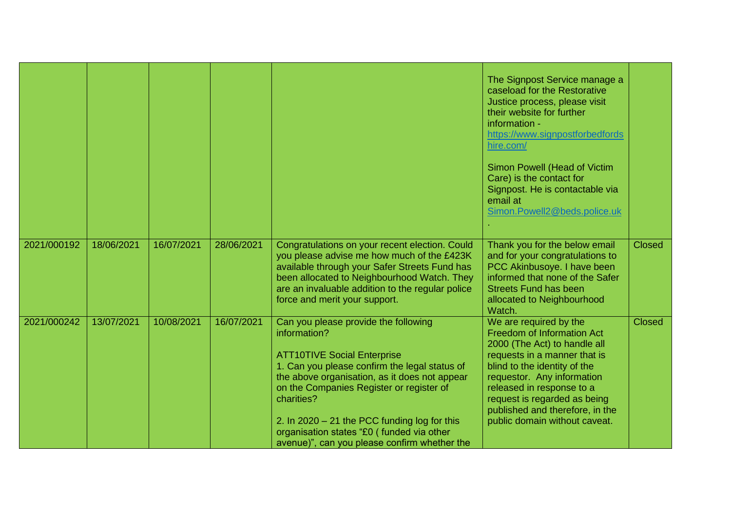|             |            |            |            |                                                                                                                                                                                                                                                                                                                                                                                                       | The Signpost Service manage a<br>caseload for the Restorative<br>Justice process, please visit<br>their website for further<br>information -<br>https://www.signpostforbedfords<br>hire.com/<br>Simon Powell (Head of Victim<br>Care) is the contact for<br>Signpost. He is contactable via<br>email at<br>Simon.Powell2@beds.police.uk |               |
|-------------|------------|------------|------------|-------------------------------------------------------------------------------------------------------------------------------------------------------------------------------------------------------------------------------------------------------------------------------------------------------------------------------------------------------------------------------------------------------|-----------------------------------------------------------------------------------------------------------------------------------------------------------------------------------------------------------------------------------------------------------------------------------------------------------------------------------------|---------------|
| 2021/000192 | 18/06/2021 | 16/07/2021 | 28/06/2021 | Congratulations on your recent election. Could<br>you please advise me how much of the £423K<br>available through your Safer Streets Fund has<br>been allocated to Neighbourhood Watch. They<br>are an invaluable addition to the regular police<br>force and merit your support.                                                                                                                     | Thank you for the below email<br>and for your congratulations to<br>PCC Akinbusoye. I have been<br>informed that none of the Safer<br><b>Streets Fund has been</b><br>allocated to Neighbourhood<br>Watch.                                                                                                                              | <b>Closed</b> |
| 2021/000242 | 13/07/2021 | 10/08/2021 | 16/07/2021 | Can you please provide the following<br>information?<br><b>ATT10TIVE Social Enterprise</b><br>1. Can you please confirm the legal status of<br>the above organisation, as it does not appear<br>on the Companies Register or register of<br>charities?<br>2. In $2020 - 21$ the PCC funding log for this<br>organisation states "£0 (funded via other<br>avenue)", can you please confirm whether the | We are required by the<br>Freedom of Information Act<br>2000 (The Act) to handle all<br>requests in a manner that is<br>blind to the identity of the<br>requestor. Any information<br>released in response to a<br>request is regarded as being<br>published and therefore, in the<br>public domain without caveat.                     | <b>Closed</b> |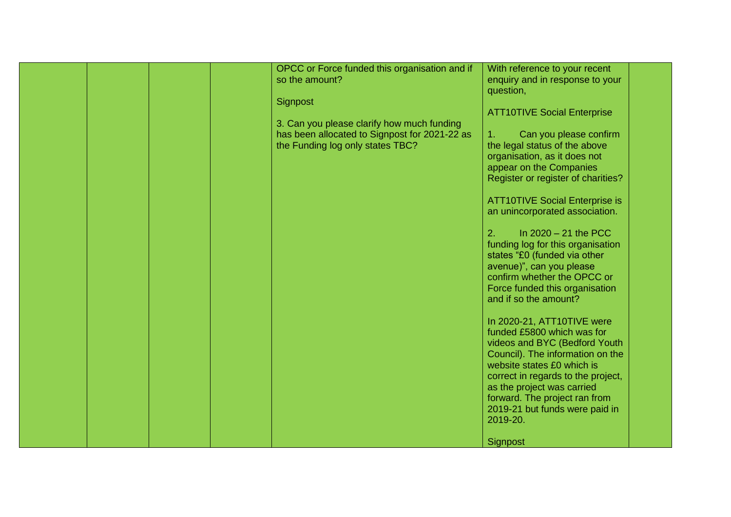|  |  | OPCC or Force funded this organisation and if | With reference to your recent         |  |
|--|--|-----------------------------------------------|---------------------------------------|--|
|  |  | so the amount?                                | enquiry and in response to your       |  |
|  |  |                                               | question,                             |  |
|  |  | Signpost                                      |                                       |  |
|  |  |                                               |                                       |  |
|  |  |                                               | <b>ATT10TIVE Social Enterprise</b>    |  |
|  |  | 3. Can you please clarify how much funding    |                                       |  |
|  |  | has been allocated to Signpost for 2021-22 as | Can you please confirm<br>1.          |  |
|  |  | the Funding log only states TBC?              | the legal status of the above         |  |
|  |  |                                               |                                       |  |
|  |  |                                               | organisation, as it does not          |  |
|  |  |                                               | appear on the Companies               |  |
|  |  |                                               | Register or register of charities?    |  |
|  |  |                                               |                                       |  |
|  |  |                                               | <b>ATT10TIVE Social Enterprise is</b> |  |
|  |  |                                               |                                       |  |
|  |  |                                               | an unincorporated association.        |  |
|  |  |                                               |                                       |  |
|  |  |                                               | In $2020 - 21$ the PCC<br>2.          |  |
|  |  |                                               | funding log for this organisation     |  |
|  |  |                                               |                                       |  |
|  |  |                                               | states "£0 (funded via other          |  |
|  |  |                                               | avenue)", can you please              |  |
|  |  |                                               | confirm whether the OPCC or           |  |
|  |  |                                               | Force funded this organisation        |  |
|  |  |                                               | and if so the amount?                 |  |
|  |  |                                               |                                       |  |
|  |  |                                               |                                       |  |
|  |  |                                               | In 2020-21, ATT10TIVE were            |  |
|  |  |                                               | funded £5800 which was for            |  |
|  |  |                                               | videos and BYC (Bedford Youth         |  |
|  |  |                                               | Council). The information on the      |  |
|  |  |                                               |                                       |  |
|  |  |                                               | website states £0 which is            |  |
|  |  |                                               | correct in regards to the project,    |  |
|  |  |                                               | as the project was carried            |  |
|  |  |                                               | forward. The project ran from         |  |
|  |  |                                               |                                       |  |
|  |  |                                               | 2019-21 but funds were paid in        |  |
|  |  |                                               | 2019-20.                              |  |
|  |  |                                               |                                       |  |
|  |  |                                               | Signpost                              |  |
|  |  |                                               |                                       |  |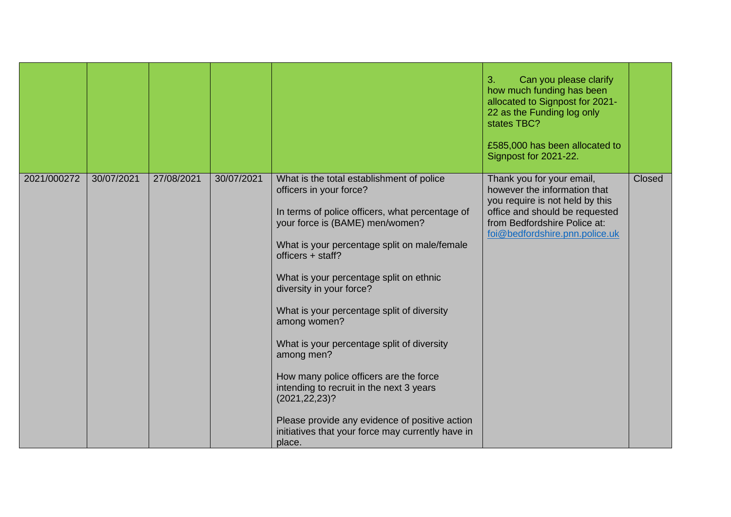|             |            |            |            |                                                                                                                                                                                                                                                                                                                                                                                                                                                                                                                                                                                                                                                            | Can you please clarify<br>3.<br>how much funding has been<br>allocated to Signpost for 2021-<br>22 as the Funding log only<br>states TBC?<br>£585,000 has been allocated to<br>Signpost for 2021-22. |        |
|-------------|------------|------------|------------|------------------------------------------------------------------------------------------------------------------------------------------------------------------------------------------------------------------------------------------------------------------------------------------------------------------------------------------------------------------------------------------------------------------------------------------------------------------------------------------------------------------------------------------------------------------------------------------------------------------------------------------------------------|------------------------------------------------------------------------------------------------------------------------------------------------------------------------------------------------------|--------|
| 2021/000272 | 30/07/2021 | 27/08/2021 | 30/07/2021 | What is the total establishment of police<br>officers in your force?<br>In terms of police officers, what percentage of<br>your force is (BAME) men/women?<br>What is your percentage split on male/female<br>officers + staff?<br>What is your percentage split on ethnic<br>diversity in your force?<br>What is your percentage split of diversity<br>among women?<br>What is your percentage split of diversity<br>among men?<br>How many police officers are the force<br>intending to recruit in the next 3 years<br>(2021, 22, 23)?<br>Please provide any evidence of positive action<br>initiatives that your force may currently have in<br>place. | Thank you for your email,<br>however the information that<br>you require is not held by this<br>office and should be requested<br>from Bedfordshire Police at:<br>foi@bedfordshire.pnn.police.uk     | Closed |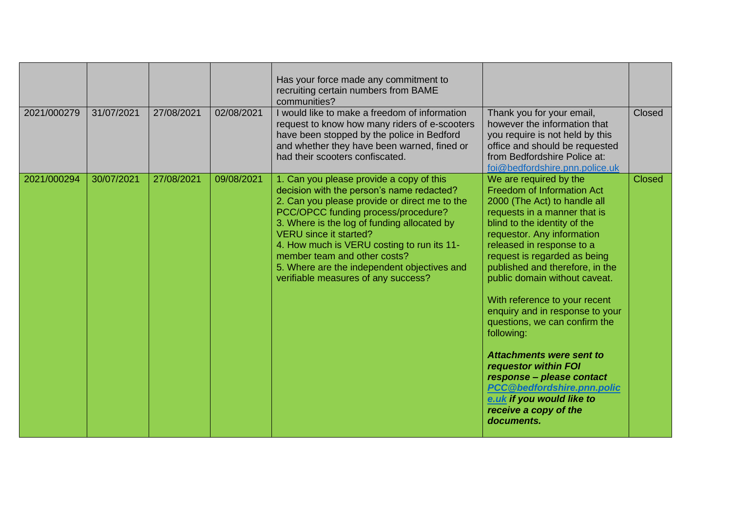| 2021/000279 | 31/07/2021 | 27/08/2021 | 02/08/2021 | Has your force made any commitment to<br>recruiting certain numbers from BAME<br>communities?<br>I would like to make a freedom of information<br>request to know how many riders of e-scooters<br>have been stopped by the police in Bedford<br>and whether they have been warned, fined or<br>had their scooters confiscated.                                                                                                   | Thank you for your email,<br>however the information that<br>you require is not held by this<br>office and should be requested<br>from Bedfordshire Police at:<br>foi@bedfordshire.pnn.police.uk                                                                                                                                                                                                                                                                                                                                                                                                                                        | Closed        |
|-------------|------------|------------|------------|-----------------------------------------------------------------------------------------------------------------------------------------------------------------------------------------------------------------------------------------------------------------------------------------------------------------------------------------------------------------------------------------------------------------------------------|-----------------------------------------------------------------------------------------------------------------------------------------------------------------------------------------------------------------------------------------------------------------------------------------------------------------------------------------------------------------------------------------------------------------------------------------------------------------------------------------------------------------------------------------------------------------------------------------------------------------------------------------|---------------|
| 2021/000294 | 30/07/2021 | 27/08/2021 | 09/08/2021 | 1. Can you please provide a copy of this<br>decision with the person's name redacted?<br>2. Can you please provide or direct me to the<br>PCC/OPCC funding process/procedure?<br>3. Where is the log of funding allocated by<br><b>VERU</b> since it started?<br>4. How much is VERU costing to run its 11-<br>member team and other costs?<br>5. Where are the independent objectives and<br>verifiable measures of any success? | We are required by the<br>Freedom of Information Act<br>2000 (The Act) to handle all<br>requests in a manner that is<br>blind to the identity of the<br>requestor. Any information<br>released in response to a<br>request is regarded as being<br>published and therefore, in the<br>public domain without caveat.<br>With reference to your recent<br>enquiry and in response to your<br>questions, we can confirm the<br>following:<br><b>Attachments were sent to</b><br>requestor within FOI<br>response - please contact<br><b>PCC@bedfordshire.pnn.polic</b><br>e.uk if you would like to<br>receive a copy of the<br>documents. | <b>Closed</b> |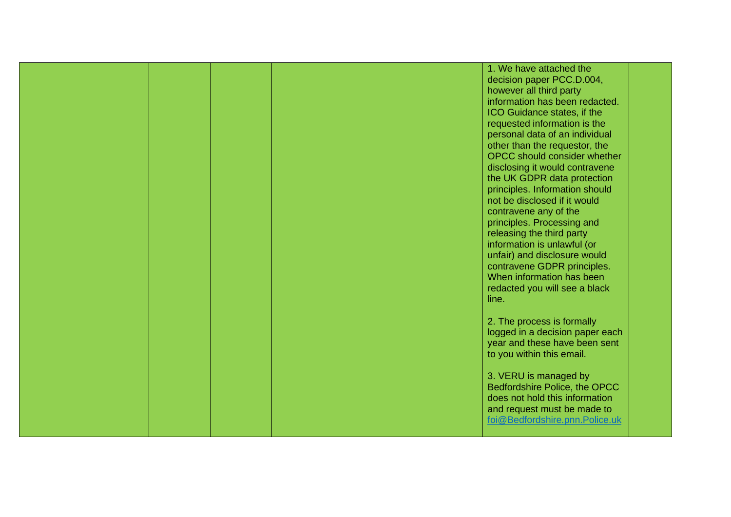|  |  | 1. We have attached the                                          |  |
|--|--|------------------------------------------------------------------|--|
|  |  | decision paper PCC.D.004,                                        |  |
|  |  | however all third party                                          |  |
|  |  | information has been redacted.                                   |  |
|  |  | ICO Guidance states, if the                                      |  |
|  |  | requested information is the                                     |  |
|  |  | personal data of an individual                                   |  |
|  |  | other than the requestor, the                                    |  |
|  |  | <b>OPCC</b> should consider whether                              |  |
|  |  | disclosing it would contravene                                   |  |
|  |  | the UK GDPR data protection                                      |  |
|  |  | principles. Information should                                   |  |
|  |  | not be disclosed if it would                                     |  |
|  |  | contravene any of the                                            |  |
|  |  | principles. Processing and                                       |  |
|  |  | releasing the third party                                        |  |
|  |  | information is unlawful (or                                      |  |
|  |  | unfair) and disclosure would                                     |  |
|  |  | contravene GDPR principles.                                      |  |
|  |  | When information has been                                        |  |
|  |  |                                                                  |  |
|  |  | redacted you will see a black<br>line.                           |  |
|  |  |                                                                  |  |
|  |  |                                                                  |  |
|  |  | 2. The process is formally                                       |  |
|  |  | logged in a decision paper each<br>year and these have been sent |  |
|  |  |                                                                  |  |
|  |  | to you within this email.                                        |  |
|  |  | 3. VERU is managed by                                            |  |
|  |  | Bedfordshire Police, the OPCC                                    |  |
|  |  | does not hold this information                                   |  |
|  |  | and request must be made to                                      |  |
|  |  | foi@Bedfordshire.pnn.Police.uk                                   |  |
|  |  |                                                                  |  |
|  |  |                                                                  |  |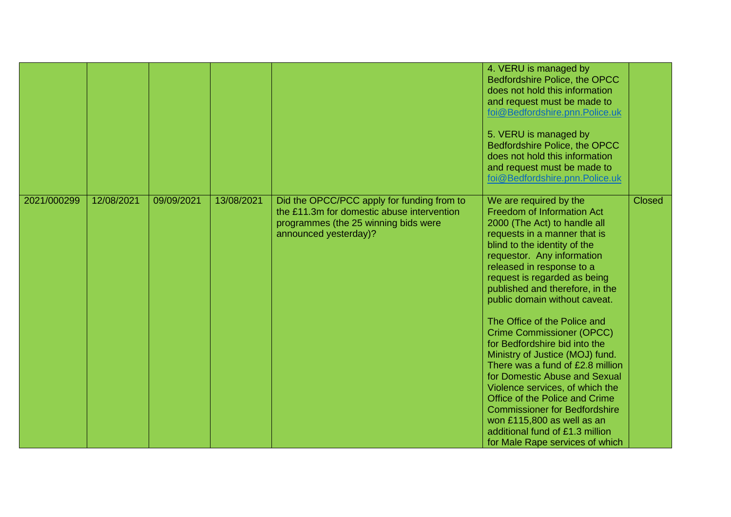|             |            |            |            |                                                                                                                                                           | 4. VERU is managed by<br>Bedfordshire Police, the OPCC<br>does not hold this information<br>and request must be made to<br>foi@Bedfordshire.pnn.Police.uk<br>5. VERU is managed by<br>Bedfordshire Police, the OPCC<br>does not hold this information<br>and request must be made to<br>foi@Bedfordshire.pnn.Police.uk                                                                                                                                                                                                                                                                                                                                                                                                                                   |               |
|-------------|------------|------------|------------|-----------------------------------------------------------------------------------------------------------------------------------------------------------|----------------------------------------------------------------------------------------------------------------------------------------------------------------------------------------------------------------------------------------------------------------------------------------------------------------------------------------------------------------------------------------------------------------------------------------------------------------------------------------------------------------------------------------------------------------------------------------------------------------------------------------------------------------------------------------------------------------------------------------------------------|---------------|
| 2021/000299 | 12/08/2021 | 09/09/2021 | 13/08/2021 | Did the OPCC/PCC apply for funding from to<br>the £11.3m for domestic abuse intervention<br>programmes (the 25 winning bids were<br>announced yesterday)? | We are required by the<br><b>Freedom of Information Act</b><br>2000 (The Act) to handle all<br>requests in a manner that is<br>blind to the identity of the<br>requestor. Any information<br>released in response to a<br>request is regarded as being<br>published and therefore, in the<br>public domain without caveat.<br>The Office of the Police and<br><b>Crime Commissioner (OPCC)</b><br>for Bedfordshire bid into the<br>Ministry of Justice (MOJ) fund.<br>There was a fund of £2.8 million<br>for Domestic Abuse and Sexual<br>Violence services, of which the<br>Office of the Police and Crime<br><b>Commissioner for Bedfordshire</b><br>won £115,800 as well as an<br>additional fund of £1.3 million<br>for Male Rape services of which | <b>Closed</b> |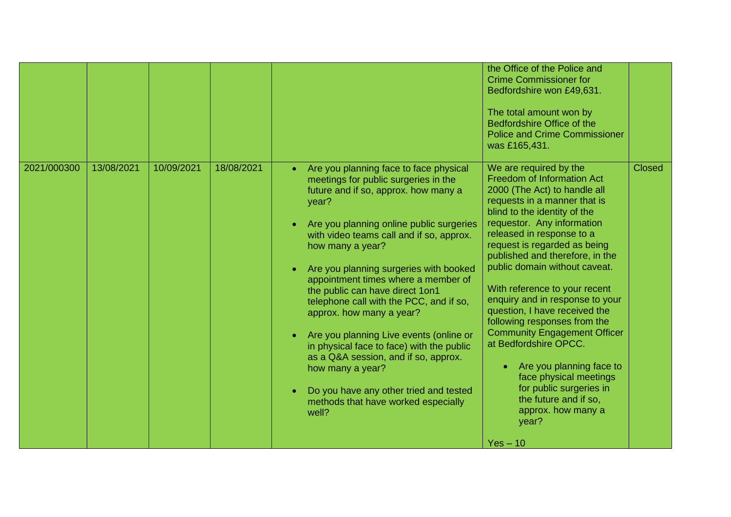|             |            |            |            |                                                                                                                                                                                                                                                                                                                                                                                                                                                                                                                                                                                                                                                                                                                             | the Office of the Police and<br><b>Crime Commissioner for</b><br>Bedfordshire won £49,631.<br>The total amount won by<br>Bedfordshire Office of the<br><b>Police and Crime Commissioner</b><br>was £165,431.                                                                                                                                                                                                                                                                                                                                                                                                                                                                           |               |
|-------------|------------|------------|------------|-----------------------------------------------------------------------------------------------------------------------------------------------------------------------------------------------------------------------------------------------------------------------------------------------------------------------------------------------------------------------------------------------------------------------------------------------------------------------------------------------------------------------------------------------------------------------------------------------------------------------------------------------------------------------------------------------------------------------------|----------------------------------------------------------------------------------------------------------------------------------------------------------------------------------------------------------------------------------------------------------------------------------------------------------------------------------------------------------------------------------------------------------------------------------------------------------------------------------------------------------------------------------------------------------------------------------------------------------------------------------------------------------------------------------------|---------------|
| 2021/000300 | 13/08/2021 | 10/09/2021 | 18/08/2021 | Are you planning face to face physical<br>$\bullet$<br>meetings for public surgeries in the<br>future and if so, approx. how many a<br>year?<br>Are you planning online public surgeries<br>$\bullet$<br>with video teams call and if so, approx.<br>how many a year?<br>Are you planning surgeries with booked<br>appointment times where a member of<br>the public can have direct 1on1<br>telephone call with the PCC, and if so,<br>approx. how many a year?<br>Are you planning Live events (online or<br>$\bullet$<br>in physical face to face) with the public<br>as a Q&A session, and if so, approx.<br>how many a year?<br>Do you have any other tried and tested<br>methods that have worked especially<br>well? | We are required by the<br><b>Freedom of Information Act</b><br>2000 (The Act) to handle all<br>requests in a manner that is<br>blind to the identity of the<br>requestor. Any information<br>released in response to a<br>request is regarded as being<br>published and therefore, in the<br>public domain without caveat.<br>With reference to your recent<br>enquiry and in response to your<br>question, I have received the<br>following responses from the<br><b>Community Engagement Officer</b><br>at Bedfordshire OPCC.<br>Are you planning face to<br>face physical meetings<br>for public surgeries in<br>the future and if so,<br>approx. how many a<br>year?<br>$Yes - 10$ | <b>Closed</b> |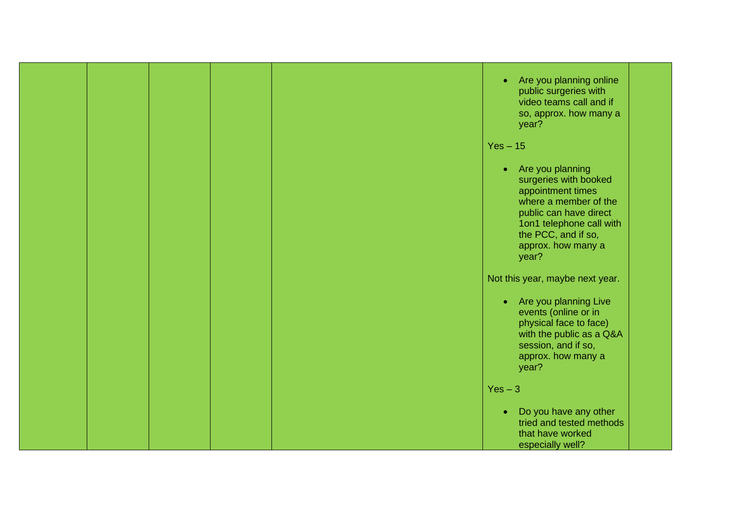|  |  | Are you planning online<br>$\bullet$<br>public surgeries with<br>video teams call and if<br>so, approx. how many a<br>year?                                                                                      |
|--|--|------------------------------------------------------------------------------------------------------------------------------------------------------------------------------------------------------------------|
|  |  | $Yes - 15$                                                                                                                                                                                                       |
|  |  | Are you planning<br>$\bullet$<br>surgeries with booked<br>appointment times<br>where a member of the<br>public can have direct<br>1on1 telephone call with<br>the PCC, and if so,<br>approx. how many a<br>year? |
|  |  | Not this year, maybe next year.                                                                                                                                                                                  |
|  |  | Are you planning Live<br>$\bullet$<br>events (online or in<br>physical face to face)<br>with the public as a Q&A<br>session, and if so,<br>approx. how many a<br>year?                                           |
|  |  | $Yes - 3$                                                                                                                                                                                                        |
|  |  | Do you have any other<br>$\bullet$<br>tried and tested methods<br>that have worked<br>especially well?                                                                                                           |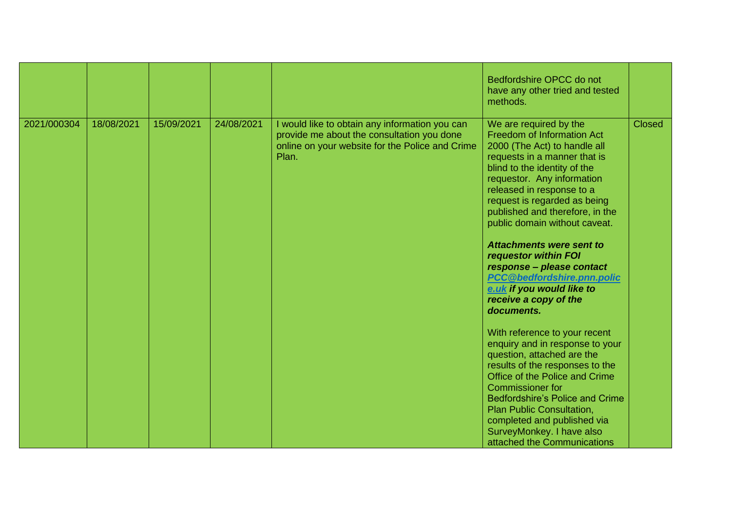|             |            |            |            |                                                                                                                                                          | Bedfordshire OPCC do not<br>have any other tried and tested<br>methods.                                                                                                                                                                                                                                                                                                                                                                                                                                                                                                                                                                                                                                                                                                                                                                                                                  |               |
|-------------|------------|------------|------------|----------------------------------------------------------------------------------------------------------------------------------------------------------|------------------------------------------------------------------------------------------------------------------------------------------------------------------------------------------------------------------------------------------------------------------------------------------------------------------------------------------------------------------------------------------------------------------------------------------------------------------------------------------------------------------------------------------------------------------------------------------------------------------------------------------------------------------------------------------------------------------------------------------------------------------------------------------------------------------------------------------------------------------------------------------|---------------|
| 2021/000304 | 18/08/2021 | 15/09/2021 | 24/08/2021 | I would like to obtain any information you can<br>provide me about the consultation you done<br>online on your website for the Police and Crime<br>Plan. | We are required by the<br><b>Freedom of Information Act</b><br>2000 (The Act) to handle all<br>requests in a manner that is<br>blind to the identity of the<br>requestor. Any information<br>released in response to a<br>request is regarded as being<br>published and therefore, in the<br>public domain without caveat.<br><b>Attachments were sent to</b><br>requestor within FOI<br>response - please contact<br>PCC@bedfordshire.pnn.polic<br>e.uk if you would like to<br>receive a copy of the<br>documents.<br>With reference to your recent<br>enquiry and in response to your<br>question, attached are the<br>results of the responses to the<br>Office of the Police and Crime<br><b>Commissioner for</b><br><b>Bedfordshire's Police and Crime</b><br>Plan Public Consultation,<br>completed and published via<br>SurveyMonkey. I have also<br>attached the Communications | <b>Closed</b> |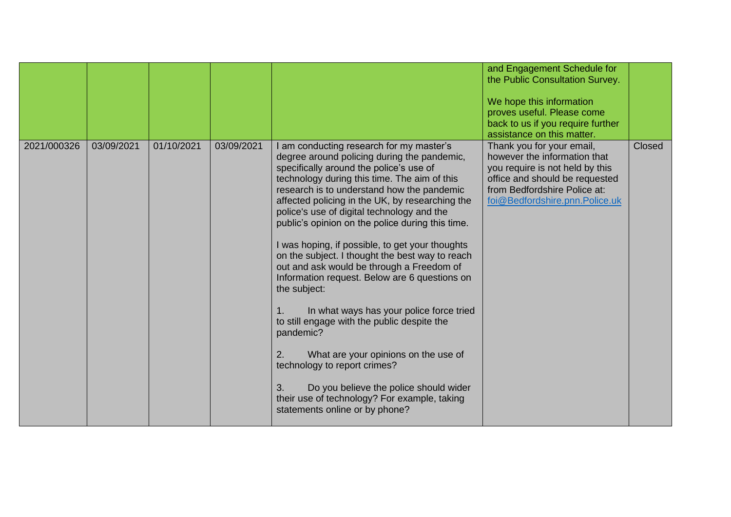|             |            |            |            |                                                                                                                                                                                                                                                                                                                                                                                                                                                                                                                                                                                                                                                                                                                                                                                                                                                                                                                                         | and Engagement Schedule for<br>the Public Consultation Survey.<br>We hope this information<br>proves useful. Please come<br>back to us if you require further<br>assistance on this matter.      |        |
|-------------|------------|------------|------------|-----------------------------------------------------------------------------------------------------------------------------------------------------------------------------------------------------------------------------------------------------------------------------------------------------------------------------------------------------------------------------------------------------------------------------------------------------------------------------------------------------------------------------------------------------------------------------------------------------------------------------------------------------------------------------------------------------------------------------------------------------------------------------------------------------------------------------------------------------------------------------------------------------------------------------------------|--------------------------------------------------------------------------------------------------------------------------------------------------------------------------------------------------|--------|
| 2021/000326 | 03/09/2021 | 01/10/2021 | 03/09/2021 | I am conducting research for my master's<br>degree around policing during the pandemic,<br>specifically around the police's use of<br>technology during this time. The aim of this<br>research is to understand how the pandemic<br>affected policing in the UK, by researching the<br>police's use of digital technology and the<br>public's opinion on the police during this time.<br>I was hoping, if possible, to get your thoughts<br>on the subject. I thought the best way to reach<br>out and ask would be through a Freedom of<br>Information request. Below are 6 questions on<br>the subject:<br>In what ways has your police force tried<br>1.<br>to still engage with the public despite the<br>pandemic?<br>2.<br>What are your opinions on the use of<br>technology to report crimes?<br>3.<br>Do you believe the police should wider<br>their use of technology? For example, taking<br>statements online or by phone? | Thank you for your email,<br>however the information that<br>you require is not held by this<br>office and should be requested<br>from Bedfordshire Police at:<br>foi@Bedfordshire.pnn.Police.uk | Closed |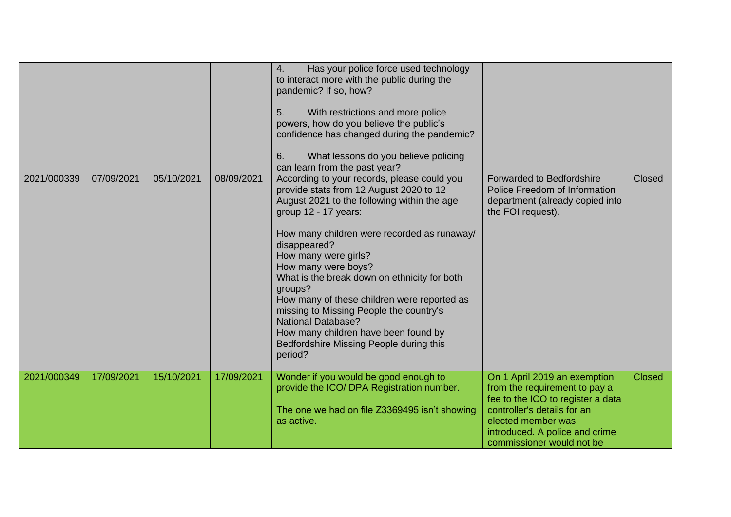|             |            |            |            | 4.<br>Has your police force used technology<br>to interact more with the public during the<br>pandemic? If so, how?<br>5.<br>With restrictions and more police<br>powers, how do you believe the public's<br>confidence has changed during the pandemic?<br>6.<br>What lessons do you believe policing<br>can learn from the past year?                                                                                                                                                                                                                     |                                                                                                                                                                                                                        |               |
|-------------|------------|------------|------------|-------------------------------------------------------------------------------------------------------------------------------------------------------------------------------------------------------------------------------------------------------------------------------------------------------------------------------------------------------------------------------------------------------------------------------------------------------------------------------------------------------------------------------------------------------------|------------------------------------------------------------------------------------------------------------------------------------------------------------------------------------------------------------------------|---------------|
| 2021/000339 | 07/09/2021 | 05/10/2021 | 08/09/2021 | According to your records, please could you<br>provide stats from 12 August 2020 to 12<br>August 2021 to the following within the age<br>group 12 - 17 years:<br>How many children were recorded as runaway/<br>disappeared?<br>How many were girls?<br>How many were boys?<br>What is the break down on ethnicity for both<br>groups?<br>How many of these children were reported as<br>missing to Missing People the country's<br><b>National Database?</b><br>How many children have been found by<br>Bedfordshire Missing People during this<br>period? | <b>Forwarded to Bedfordshire</b><br>Police Freedom of Information<br>department (already copied into<br>the FOI request).                                                                                              | <b>Closed</b> |
| 2021/000349 | 17/09/2021 | 15/10/2021 | 17/09/2021 | Wonder if you would be good enough to<br>provide the ICO/ DPA Registration number.<br>The one we had on file Z3369495 isn't showing<br>as active.                                                                                                                                                                                                                                                                                                                                                                                                           | On 1 April 2019 an exemption<br>from the requirement to pay a<br>fee to the ICO to register a data<br>controller's details for an<br>elected member was<br>introduced. A police and crime<br>commissioner would not be | <b>Closed</b> |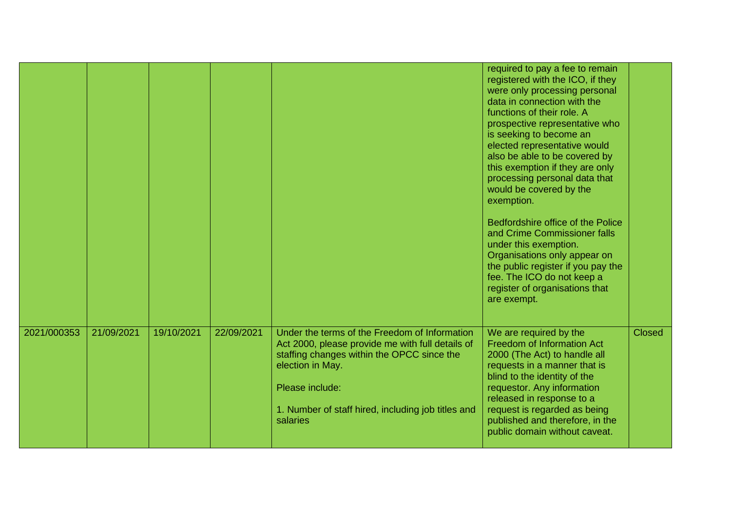|             |            |            |            |                                                                                                                                                                                                                                                          | required to pay a fee to remain<br>registered with the ICO, if they<br>were only processing personal<br>data in connection with the<br>functions of their role. A<br>prospective representative who<br>is seeking to become an<br>elected representative would<br>also be able to be covered by<br>this exemption if they are only<br>processing personal data that<br>would be covered by the<br>exemption.<br>Bedfordshire office of the Police<br>and Crime Commissioner falls<br>under this exemption.<br>Organisations only appear on<br>the public register if you pay the<br>fee. The ICO do not keep a<br>register of organisations that<br>are exempt. |               |
|-------------|------------|------------|------------|----------------------------------------------------------------------------------------------------------------------------------------------------------------------------------------------------------------------------------------------------------|-----------------------------------------------------------------------------------------------------------------------------------------------------------------------------------------------------------------------------------------------------------------------------------------------------------------------------------------------------------------------------------------------------------------------------------------------------------------------------------------------------------------------------------------------------------------------------------------------------------------------------------------------------------------|---------------|
| 2021/000353 | 21/09/2021 | 19/10/2021 | 22/09/2021 | Under the terms of the Freedom of Information<br>Act 2000, please provide me with full details of<br>staffing changes within the OPCC since the<br>election in May.<br>Please include:<br>1. Number of staff hired, including job titles and<br>salaries | We are required by the<br><b>Freedom of Information Act</b><br>2000 (The Act) to handle all<br>requests in a manner that is<br>blind to the identity of the<br>requestor. Any information<br>released in response to a<br>request is regarded as being<br>published and therefore, in the<br>public domain without caveat.                                                                                                                                                                                                                                                                                                                                      | <b>Closed</b> |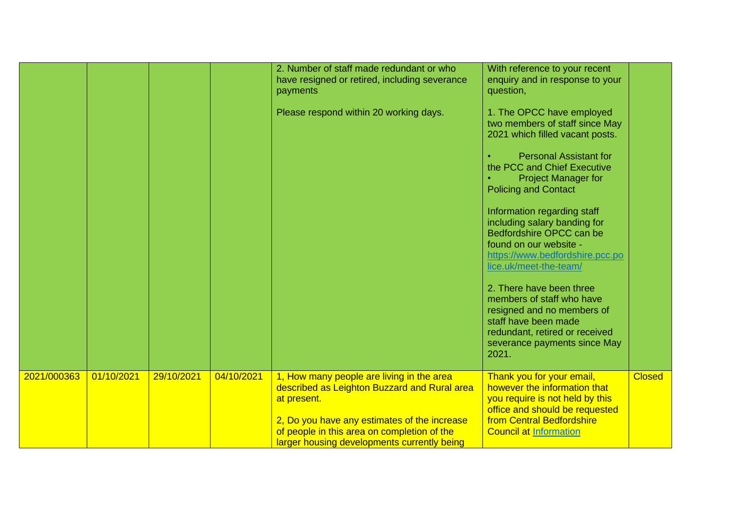|             |            |            |            | 2. Number of staff made redundant or who<br>have resigned or retired, including severance<br>payments<br>Please respond within 20 working days.                                                                                                        | With reference to your recent<br>enquiry and in response to your<br>question,<br>1. The OPCC have employed<br>two members of staff since May<br>2021 which filled vacant posts.<br><b>Personal Assistant for</b><br>the PCC and Chief Executive<br><b>Project Manager for</b><br><b>Policing and Contact</b><br>Information regarding staff<br>including salary banding for<br>Bedfordshire OPCC can be<br>found on our website -<br>https://www.bedfordshire.pcc.po<br>lice.uk/meet-the-team/<br>2. There have been three<br>members of staff who have<br>resigned and no members of<br>staff have been made<br>redundant, retired or received<br>severance payments since May<br>2021. |               |
|-------------|------------|------------|------------|--------------------------------------------------------------------------------------------------------------------------------------------------------------------------------------------------------------------------------------------------------|------------------------------------------------------------------------------------------------------------------------------------------------------------------------------------------------------------------------------------------------------------------------------------------------------------------------------------------------------------------------------------------------------------------------------------------------------------------------------------------------------------------------------------------------------------------------------------------------------------------------------------------------------------------------------------------|---------------|
| 2021/000363 | 01/10/2021 | 29/10/2021 | 04/10/2021 | 1, How many people are living in the area<br>described as Leighton Buzzard and Rural area<br>at present.<br>2, Do you have any estimates of the increase<br>of people in this area on completion of the<br>larger housing developments currently being | Thank you for your email,<br>however the information that<br>you require is not held by this<br>office and should be requested<br>from Central Bedfordshire<br><b>Council at Information</b>                                                                                                                                                                                                                                                                                                                                                                                                                                                                                             | <b>Closed</b> |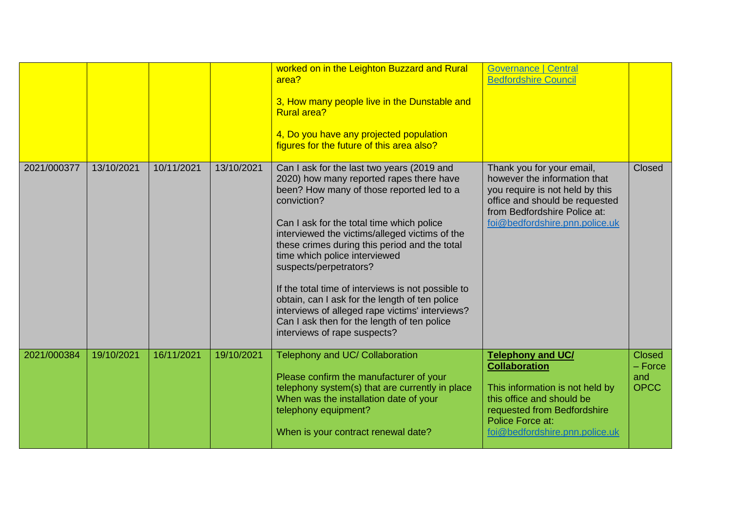|             |            |            |            | worked on in the Leighton Buzzard and Rural<br>area?<br>3, How many people live in the Dunstable and<br><b>Rural area?</b><br>4, Do you have any projected population<br>figures for the future of this area also?                                                                                                                                                                                                                                                                                                                                                                                      | <b>Governance   Central</b><br><b>Bedfordshire Council</b>                                                                                                                                            |                                                  |
|-------------|------------|------------|------------|---------------------------------------------------------------------------------------------------------------------------------------------------------------------------------------------------------------------------------------------------------------------------------------------------------------------------------------------------------------------------------------------------------------------------------------------------------------------------------------------------------------------------------------------------------------------------------------------------------|-------------------------------------------------------------------------------------------------------------------------------------------------------------------------------------------------------|--------------------------------------------------|
| 2021/000377 | 13/10/2021 | 10/11/2021 | 13/10/2021 | Can I ask for the last two years (2019 and<br>2020) how many reported rapes there have<br>been? How many of those reported led to a<br>conviction?<br>Can I ask for the total time which police<br>interviewed the victims/alleged victims of the<br>these crimes during this period and the total<br>time which police interviewed<br>suspects/perpetrators?<br>If the total time of interviews is not possible to<br>obtain, can I ask for the length of ten police<br>interviews of alleged rape victims' interviews?<br>Can I ask then for the length of ten police<br>interviews of rape suspects? | Thank you for your email,<br>however the information that<br>you require is not held by this<br>office and should be requested<br>from Bedfordshire Police at:<br>foi@bedfordshire.pnn.police.uk      | Closed                                           |
| 2021/000384 | 19/10/2021 | 16/11/2021 | 19/10/2021 | Telephony and UC/ Collaboration<br>Please confirm the manufacturer of your<br>telephony system(s) that are currently in place<br>When was the installation date of your<br>telephony equipment?<br>When is your contract renewal date?                                                                                                                                                                                                                                                                                                                                                                  | <b>Telephony and UC/</b><br><b>Collaboration</b><br>This information is not held by<br>this office and should be<br>requested from Bedfordshire<br>Police Force at:<br>foi@bedfordshire.pnn.police.uk | <b>Closed</b><br>$-$ Force<br>and<br><b>OPCC</b> |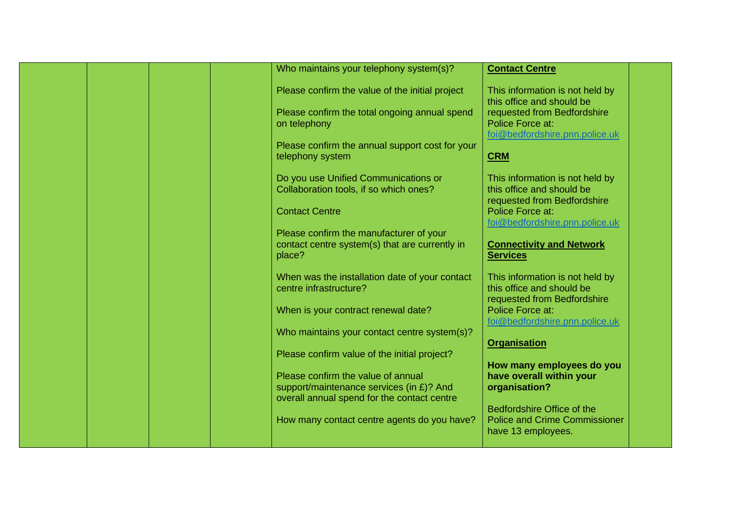|  |  | Who maintains your telephony system(s)?                                                                                                                             | <b>Contact Centre</b>                                                                                                                             |  |
|--|--|---------------------------------------------------------------------------------------------------------------------------------------------------------------------|---------------------------------------------------------------------------------------------------------------------------------------------------|--|
|  |  | Please confirm the value of the initial project<br>Please confirm the total ongoing annual spend<br>on telephony<br>Please confirm the annual support cost for your | This information is not held by<br>this office and should be<br>requested from Bedfordshire<br>Police Force at:<br>foi@bedfordshire.pnn.police.uk |  |
|  |  | telephony system                                                                                                                                                    | <b>CRM</b>                                                                                                                                        |  |
|  |  | Do you use Unified Communications or<br>Collaboration tools, if so which ones?<br><b>Contact Centre</b>                                                             | This information is not held by<br>this office and should be<br>requested from Bedfordshire<br>Police Force at:                                   |  |
|  |  | Please confirm the manufacturer of your<br>contact centre system(s) that are currently in<br>place?                                                                 | foi@bedfordshire.pnn.police.uk<br><b>Connectivity and Network</b><br><b>Services</b>                                                              |  |
|  |  | When was the installation date of your contact<br>centre infrastructure?                                                                                            | This information is not held by<br>this office and should be<br>requested from Bedfordshire                                                       |  |
|  |  | When is your contract renewal date?                                                                                                                                 | Police Force at:<br>foi@bedfordshire.pnn.police.uk                                                                                                |  |
|  |  | Who maintains your contact centre system(s)?                                                                                                                        | <b>Organisation</b>                                                                                                                               |  |
|  |  | Please confirm value of the initial project?                                                                                                                        | How many employees do you                                                                                                                         |  |
|  |  | Please confirm the value of annual<br>support/maintenance services (in £)? And                                                                                      | have overall within your<br>organisation?                                                                                                         |  |
|  |  | overall annual spend for the contact centre<br>How many contact centre agents do you have?                                                                          | Bedfordshire Office of the<br><b>Police and Crime Commissioner</b><br>have 13 employees.                                                          |  |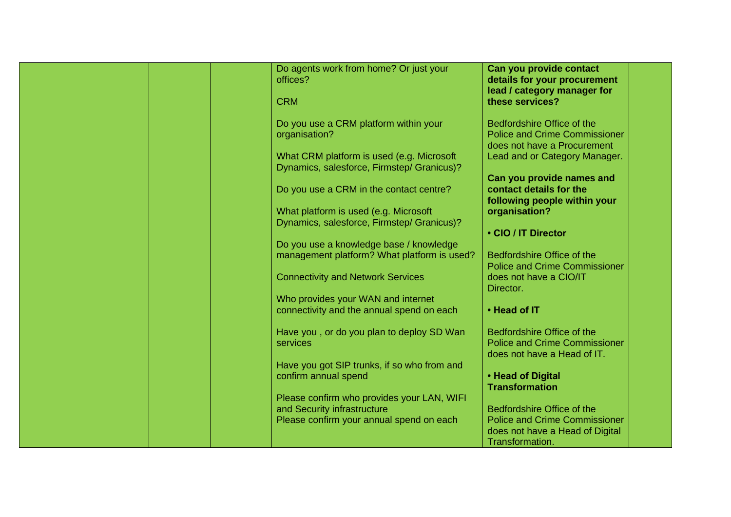| Do agents work from home? Or just your<br>offices?                                                                    | Can you provide contact<br>details for your procurement<br>lead / category manager for                                   |
|-----------------------------------------------------------------------------------------------------------------------|--------------------------------------------------------------------------------------------------------------------------|
| <b>CRM</b>                                                                                                            | these services?                                                                                                          |
| Do you use a CRM platform within your<br>organisation?                                                                | Bedfordshire Office of the<br><b>Police and Crime Commissioner</b><br>does not have a Procurement                        |
| What CRM platform is used (e.g. Microsoft<br>Dynamics, salesforce, Firmstep/ Granicus)?                               | Lead and or Category Manager.                                                                                            |
| Do you use a CRM in the contact centre?                                                                               | Can you provide names and<br>contact details for the                                                                     |
| What platform is used (e.g. Microsoft<br>Dynamics, salesforce, Firmstep/ Granicus)?                                   | following people within your<br>organisation?                                                                            |
|                                                                                                                       | • CIO / IT Director                                                                                                      |
| Do you use a knowledge base / knowledge<br>management platform? What platform is used?                                | Bedfordshire Office of the<br><b>Police and Crime Commissioner</b>                                                       |
| <b>Connectivity and Network Services</b>                                                                              | does not have a CIO/IT<br>Director.                                                                                      |
| Who provides your WAN and internet<br>connectivity and the annual spend on each                                       | • Head of IT                                                                                                             |
| Have you, or do you plan to deploy SD Wan<br>services                                                                 | Bedfordshire Office of the<br><b>Police and Crime Commissioner</b><br>does not have a Head of IT.                        |
| Have you got SIP trunks, if so who from and<br>confirm annual spend                                                   | • Head of Digital<br><b>Transformation</b>                                                                               |
| Please confirm who provides your LAN, WIFI<br>and Security infrastructure<br>Please confirm your annual spend on each | Bedfordshire Office of the<br><b>Police and Crime Commissioner</b><br>does not have a Head of Digital<br>Transformation. |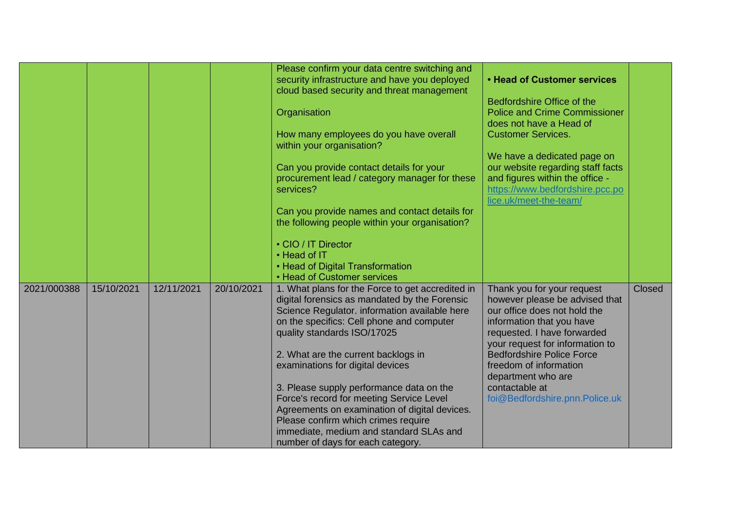|             |            |            |            | Please confirm your data centre switching and    |                                      |        |
|-------------|------------|------------|------------|--------------------------------------------------|--------------------------------------|--------|
|             |            |            |            | security infrastructure and have you deployed    | <b>• Head of Customer services</b>   |        |
|             |            |            |            | cloud based security and threat management       |                                      |        |
|             |            |            |            |                                                  | Bedfordshire Office of the           |        |
|             |            |            |            |                                                  |                                      |        |
|             |            |            |            | Organisation                                     | <b>Police and Crime Commissioner</b> |        |
|             |            |            |            |                                                  | does not have a Head of              |        |
|             |            |            |            | How many employees do you have overall           | <b>Customer Services.</b>            |        |
|             |            |            |            | within your organisation?                        |                                      |        |
|             |            |            |            |                                                  | We have a dedicated page on          |        |
|             |            |            |            | Can you provide contact details for your         | our website regarding staff facts    |        |
|             |            |            |            | procurement lead / category manager for these    | and figures within the office -      |        |
|             |            |            |            | services?                                        | https://www.bedfordshire.pcc.po      |        |
|             |            |            |            |                                                  | lice.uk/meet-the-team/               |        |
|             |            |            |            | Can you provide names and contact details for    |                                      |        |
|             |            |            |            | the following people within your organisation?   |                                      |        |
|             |            |            |            |                                                  |                                      |        |
|             |            |            |            | • CIO / IT Director                              |                                      |        |
|             |            |            |            | • Head of IT                                     |                                      |        |
|             |            |            |            | • Head of Digital Transformation                 |                                      |        |
|             |            |            |            | • Head of Customer services                      |                                      |        |
| 2021/000388 | 15/10/2021 | 12/11/2021 | 20/10/2021 | 1. What plans for the Force to get accredited in | Thank you for your request           | Closed |
|             |            |            |            | digital forensics as mandated by the Forensic    | however please be advised that       |        |
|             |            |            |            | Science Regulator. information available here    | our office does not hold the         |        |
|             |            |            |            | on the specifics: Cell phone and computer        | information that you have            |        |
|             |            |            |            | quality standards ISO/17025                      | requested. I have forwarded          |        |
|             |            |            |            |                                                  | your request for information to      |        |
|             |            |            |            | 2. What are the current backlogs in              | <b>Bedfordshire Police Force</b>     |        |
|             |            |            |            | examinations for digital devices                 | freedom of information               |        |
|             |            |            |            |                                                  |                                      |        |
|             |            |            |            |                                                  | department who are<br>contactable at |        |
|             |            |            |            | 3. Please supply performance data on the         |                                      |        |
|             |            |            |            | Force's record for meeting Service Level         | foi@Bedfordshire.pnn.Police.uk       |        |
|             |            |            |            | Agreements on examination of digital devices.    |                                      |        |
|             |            |            |            | Please confirm which crimes require              |                                      |        |
|             |            |            |            | immediate, medium and standard SLAs and          |                                      |        |
|             |            |            |            | number of days for each category.                |                                      |        |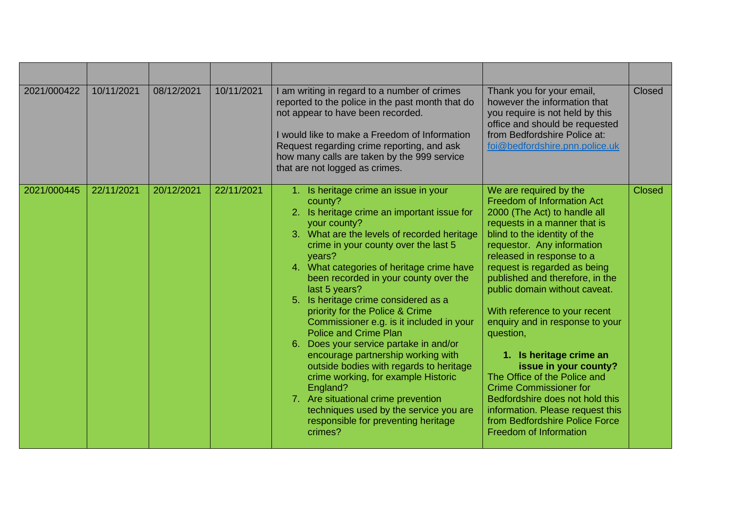| 2021/000422 | 10/11/2021 | 08/12/2021 | 10/11/2021 | I am writing in regard to a number of crimes<br>reported to the police in the past month that do<br>not appear to have been recorded.<br>I would like to make a Freedom of Information<br>Request regarding crime reporting, and ask<br>how many calls are taken by the 999 service<br>that are not logged as crimes.                                                                                                                                                                                                                                                                                                                                                                                                                                                                           | Thank you for your email,<br>however the information that<br>you require is not held by this<br>office and should be requested<br>from Bedfordshire Police at:<br>foi@bedfordshire.pnn.police.uk                                                                                                                                                                                                                                                                                                                                                                                                                                                                    | Closed        |
|-------------|------------|------------|------------|-------------------------------------------------------------------------------------------------------------------------------------------------------------------------------------------------------------------------------------------------------------------------------------------------------------------------------------------------------------------------------------------------------------------------------------------------------------------------------------------------------------------------------------------------------------------------------------------------------------------------------------------------------------------------------------------------------------------------------------------------------------------------------------------------|---------------------------------------------------------------------------------------------------------------------------------------------------------------------------------------------------------------------------------------------------------------------------------------------------------------------------------------------------------------------------------------------------------------------------------------------------------------------------------------------------------------------------------------------------------------------------------------------------------------------------------------------------------------------|---------------|
| 2021/000445 | 22/11/2021 | 20/12/2021 | 22/11/2021 | 1. Is heritage crime an issue in your<br>county?<br>2. Is heritage crime an important issue for<br>your county?<br>3. What are the levels of recorded heritage<br>crime in your county over the last 5<br>years?<br>4. What categories of heritage crime have<br>been recorded in your county over the<br>last 5 years?<br>5. Is heritage crime considered as a<br>priority for the Police & Crime<br>Commissioner e.g. is it included in your<br><b>Police and Crime Plan</b><br>6. Does your service partake in and/or<br>encourage partnership working with<br>outside bodies with regards to heritage<br>crime working, for example Historic<br>England?<br>7. Are situational crime prevention<br>techniques used by the service you are<br>responsible for preventing heritage<br>crimes? | We are required by the<br>Freedom of Information Act<br>2000 (The Act) to handle all<br>requests in a manner that is<br>blind to the identity of the<br>requestor. Any information<br>released in response to a<br>request is regarded as being<br>published and therefore, in the<br>public domain without caveat.<br>With reference to your recent<br>enquiry and in response to your<br>question,<br>1. Is heritage crime an<br>issue in your county?<br>The Office of the Police and<br><b>Crime Commissioner for</b><br>Bedfordshire does not hold this<br>information. Please request this<br>from Bedfordshire Police Force<br><b>Freedom of Information</b> | <b>Closed</b> |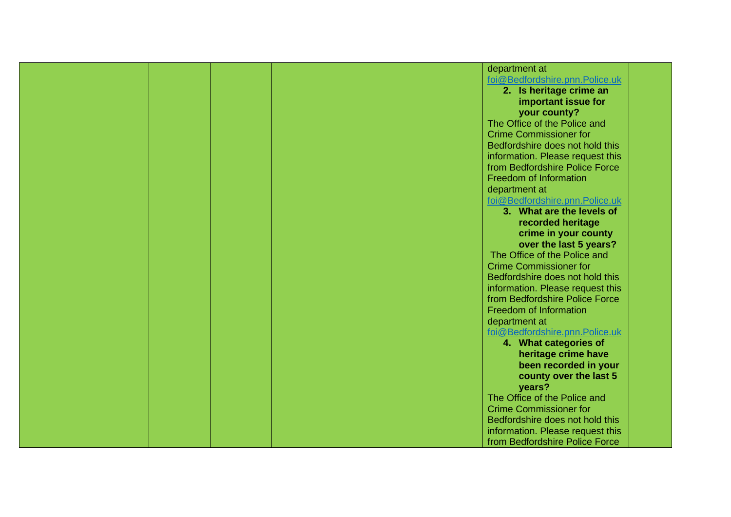|  |  | department at                    |  |
|--|--|----------------------------------|--|
|  |  | foi@Bedfordshire.pnn.Police.uk   |  |
|  |  | 2. Is heritage crime an          |  |
|  |  | important issue for              |  |
|  |  |                                  |  |
|  |  | your county?                     |  |
|  |  | The Office of the Police and     |  |
|  |  | <b>Crime Commissioner for</b>    |  |
|  |  | Bedfordshire does not hold this  |  |
|  |  | information. Please request this |  |
|  |  | from Bedfordshire Police Force   |  |
|  |  | <b>Freedom of Information</b>    |  |
|  |  | department at                    |  |
|  |  | foi@Bedfordshire.pnn.Police.uk   |  |
|  |  | 3. What are the levels of        |  |
|  |  | recorded heritage                |  |
|  |  | crime in your county             |  |
|  |  | over the last 5 years?           |  |
|  |  | The Office of the Police and     |  |
|  |  | <b>Crime Commissioner for</b>    |  |
|  |  | Bedfordshire does not hold this  |  |
|  |  | information. Please request this |  |
|  |  | from Bedfordshire Police Force   |  |
|  |  | <b>Freedom of Information</b>    |  |
|  |  | department at                    |  |
|  |  | foi@Bedfordshire.pnn.Police.uk   |  |
|  |  | 4. What categories of            |  |
|  |  | heritage crime have              |  |
|  |  | been recorded in your            |  |
|  |  | county over the last 5           |  |
|  |  | years?                           |  |
|  |  | The Office of the Police and     |  |
|  |  | <b>Crime Commissioner for</b>    |  |
|  |  | Bedfordshire does not hold this  |  |
|  |  | information. Please request this |  |
|  |  | from Bedfordshire Police Force   |  |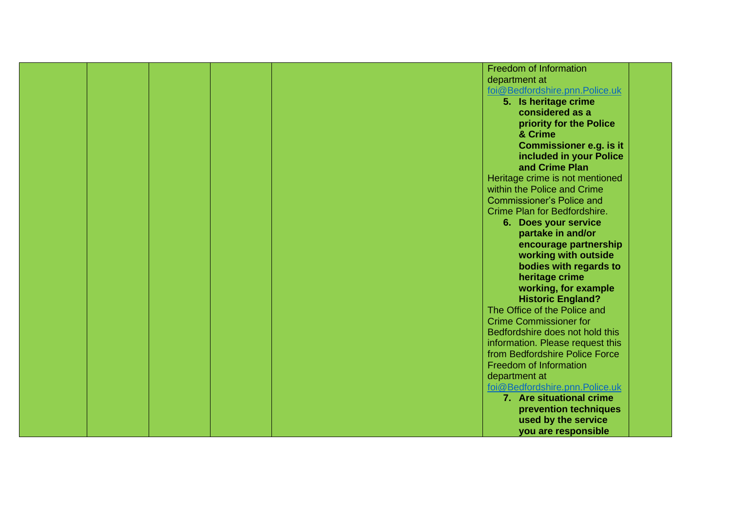|  |  | <b>Freedom of Information</b>    |  |
|--|--|----------------------------------|--|
|  |  | department at                    |  |
|  |  | foi@Bedfordshire.pnn.Police.uk   |  |
|  |  |                                  |  |
|  |  | 5. Is heritage crime             |  |
|  |  | considered as a                  |  |
|  |  | priority for the Police          |  |
|  |  | & Crime                          |  |
|  |  | <b>Commissioner e.g. is it</b>   |  |
|  |  | included in your Police          |  |
|  |  | and Crime Plan                   |  |
|  |  | Heritage crime is not mentioned  |  |
|  |  | within the Police and Crime      |  |
|  |  | <b>Commissioner's Police and</b> |  |
|  |  | Crime Plan for Bedfordshire.     |  |
|  |  | 6. Does your service             |  |
|  |  | partake in and/or                |  |
|  |  | encourage partnership            |  |
|  |  |                                  |  |
|  |  | working with outside             |  |
|  |  | bodies with regards to           |  |
|  |  | heritage crime                   |  |
|  |  | working, for example             |  |
|  |  | <b>Historic England?</b>         |  |
|  |  | The Office of the Police and     |  |
|  |  | <b>Crime Commissioner for</b>    |  |
|  |  | Bedfordshire does not hold this  |  |
|  |  | information. Please request this |  |
|  |  | from Bedfordshire Police Force   |  |
|  |  | Freedom of Information           |  |
|  |  | department at                    |  |
|  |  | foi@Bedfordshire.pnn.Police.uk   |  |
|  |  | 7. Are situational crime         |  |
|  |  | prevention techniques            |  |
|  |  | used by the service              |  |
|  |  | you are responsible              |  |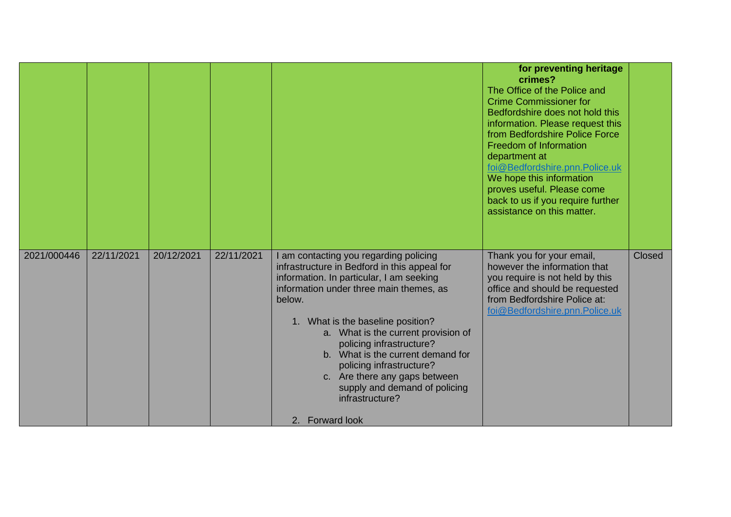|             |            |            |            |                                                                                                                                                                                                                                                                                                                                                                                                                                                                          | for preventing heritage<br>crimes?<br>The Office of the Police and<br><b>Crime Commissioner for</b><br>Bedfordshire does not hold this<br>information. Please request this<br>from Bedfordshire Police Force<br>Freedom of Information<br>department at<br>foi@Bedfordshire.pnn.Police.uk<br>We hope this information<br>proves useful. Please come<br>back to us if you require further<br>assistance on this matter. |               |
|-------------|------------|------------|------------|--------------------------------------------------------------------------------------------------------------------------------------------------------------------------------------------------------------------------------------------------------------------------------------------------------------------------------------------------------------------------------------------------------------------------------------------------------------------------|------------------------------------------------------------------------------------------------------------------------------------------------------------------------------------------------------------------------------------------------------------------------------------------------------------------------------------------------------------------------------------------------------------------------|---------------|
| 2021/000446 | 22/11/2021 | 20/12/2021 | 22/11/2021 | I am contacting you regarding policing<br>infrastructure in Bedford in this appeal for<br>information. In particular, I am seeking<br>information under three main themes, as<br>below.<br>1. What is the baseline position?<br>a. What is the current provision of<br>policing infrastructure?<br>b. What is the current demand for<br>policing infrastructure?<br>c. Are there any gaps between<br>supply and demand of policing<br>infrastructure?<br>2. Forward look | Thank you for your email,<br>however the information that<br>you require is not held by this<br>office and should be requested<br>from Bedfordshire Police at:<br>foi@Bedfordshire.pnn.Police.uk                                                                                                                                                                                                                       | <b>Closed</b> |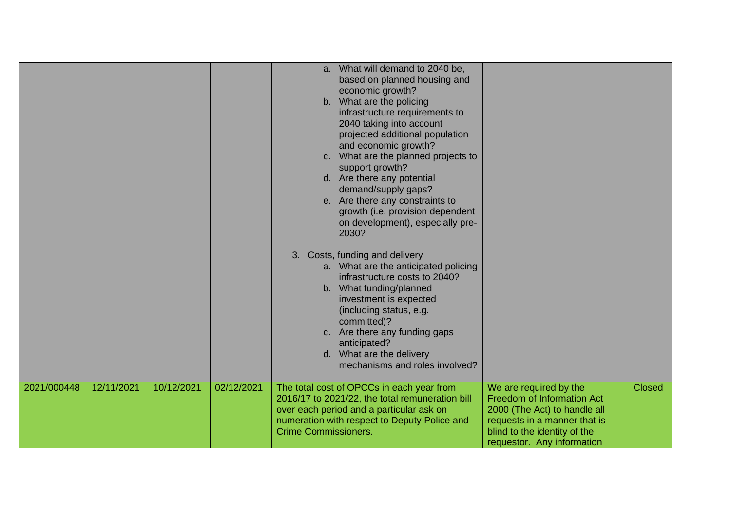|             |            |            |            | $a_{\cdot}$<br>C.           | What will demand to 2040 be,<br>based on planned housing and<br>economic growth?<br>b. What are the policing<br>infrastructure requirements to<br>2040 taking into account<br>projected additional population<br>and economic growth?<br>What are the planned projects to<br>support growth?<br>d. Are there any potential<br>demand/supply gaps?<br>e. Are there any constraints to<br>growth (i.e. provision dependent<br>on development), especially pre-<br>2030?<br>3. Costs, funding and delivery<br>a. What are the anticipated policing<br>infrastructure costs to 2040?<br>b. What funding/planned<br>investment is expected<br>(including status, e.g.<br>committed)?<br>c. Are there any funding gaps<br>anticipated?<br>d. What are the delivery<br>mechanisms and roles involved? |                                                                                                                                                                                           |               |
|-------------|------------|------------|------------|-----------------------------|------------------------------------------------------------------------------------------------------------------------------------------------------------------------------------------------------------------------------------------------------------------------------------------------------------------------------------------------------------------------------------------------------------------------------------------------------------------------------------------------------------------------------------------------------------------------------------------------------------------------------------------------------------------------------------------------------------------------------------------------------------------------------------------------|-------------------------------------------------------------------------------------------------------------------------------------------------------------------------------------------|---------------|
| 2021/000448 | 12/11/2021 | 10/12/2021 | 02/12/2021 | <b>Crime Commissioners.</b> | The total cost of OPCCs in each year from<br>2016/17 to 2021/22, the total remuneration bill<br>over each period and a particular ask on<br>numeration with respect to Deputy Police and                                                                                                                                                                                                                                                                                                                                                                                                                                                                                                                                                                                                       | We are required by the<br><b>Freedom of Information Act</b><br>2000 (The Act) to handle all<br>requests in a manner that is<br>blind to the identity of the<br>requestor. Any information | <b>Closed</b> |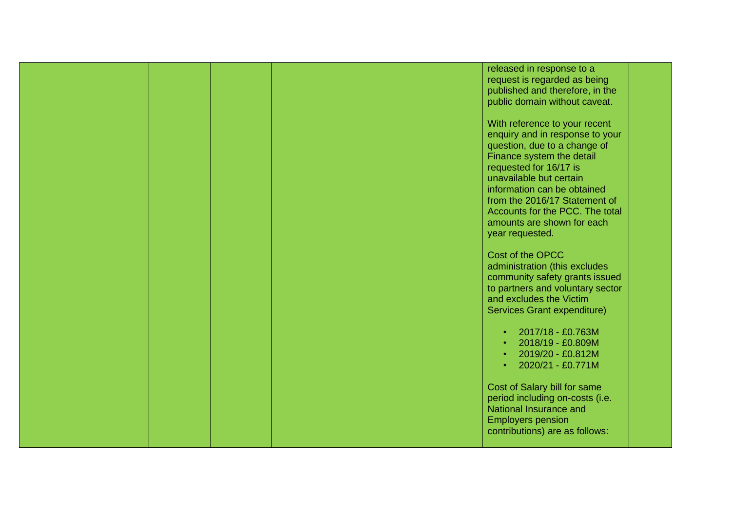|  |  | released in response to a        |  |
|--|--|----------------------------------|--|
|  |  | request is regarded as being     |  |
|  |  | published and therefore, in the  |  |
|  |  | public domain without caveat.    |  |
|  |  |                                  |  |
|  |  | With reference to your recent    |  |
|  |  |                                  |  |
|  |  | enquiry and in response to your  |  |
|  |  | question, due to a change of     |  |
|  |  | Finance system the detail        |  |
|  |  | requested for 16/17 is           |  |
|  |  | unavailable but certain          |  |
|  |  | information can be obtained      |  |
|  |  | from the 2016/17 Statement of    |  |
|  |  | Accounts for the PCC. The total  |  |
|  |  | amounts are shown for each       |  |
|  |  | year requested.                  |  |
|  |  |                                  |  |
|  |  | Cost of the OPCC                 |  |
|  |  | administration (this excludes    |  |
|  |  |                                  |  |
|  |  | community safety grants issued   |  |
|  |  | to partners and voluntary sector |  |
|  |  | and excludes the Victim          |  |
|  |  | Services Grant expenditure)      |  |
|  |  |                                  |  |
|  |  | 2017/18 - £0.763M                |  |
|  |  | 2018/19 - £0.809M                |  |
|  |  | 2019/20 - £0.812M                |  |
|  |  | 2020/21 - £0.771M<br>$\bullet$   |  |
|  |  |                                  |  |
|  |  | Cost of Salary bill for same     |  |
|  |  | period including on-costs (i.e.  |  |
|  |  | National Insurance and           |  |
|  |  |                                  |  |
|  |  | <b>Employers pension</b>         |  |
|  |  | contributions) are as follows:   |  |
|  |  |                                  |  |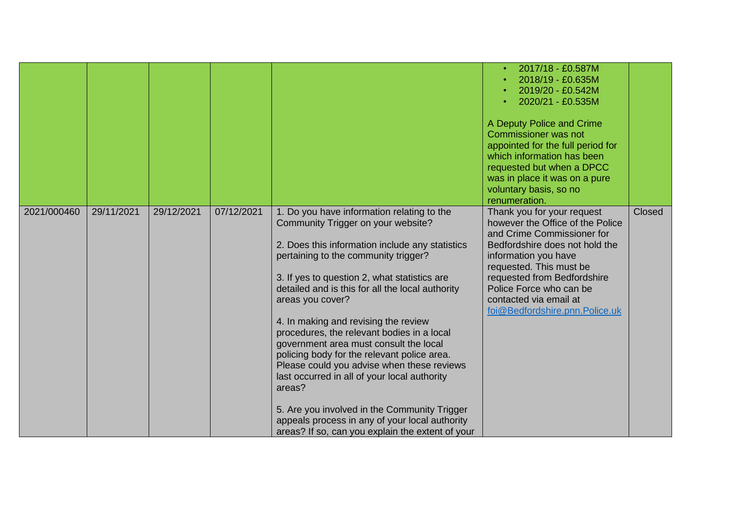|             |            |            |            |                                                                                                                                                                                                                                                                                                                                                                                                                                                                                                                                                                                                                                                                                                                                                  | 2017/18 - £0.587M<br>2018/19 - £0.635M<br>2019/20 - £0.542M<br>2020/21 - £0.535M<br>A Deputy Police and Crime<br><b>Commissioner was not</b><br>appointed for the full period for<br>which information has been<br>requested but when a DPCC<br>was in place it was on a pure<br>voluntary basis, so no<br>renumeration. |               |
|-------------|------------|------------|------------|--------------------------------------------------------------------------------------------------------------------------------------------------------------------------------------------------------------------------------------------------------------------------------------------------------------------------------------------------------------------------------------------------------------------------------------------------------------------------------------------------------------------------------------------------------------------------------------------------------------------------------------------------------------------------------------------------------------------------------------------------|--------------------------------------------------------------------------------------------------------------------------------------------------------------------------------------------------------------------------------------------------------------------------------------------------------------------------|---------------|
| 2021/000460 | 29/11/2021 | 29/12/2021 | 07/12/2021 | 1. Do you have information relating to the<br>Community Trigger on your website?<br>2. Does this information include any statistics<br>pertaining to the community trigger?<br>3. If yes to question 2, what statistics are<br>detailed and is this for all the local authority<br>areas you cover?<br>4. In making and revising the review<br>procedures, the relevant bodies in a local<br>government area must consult the local<br>policing body for the relevant police area.<br>Please could you advise when these reviews<br>last occurred in all of your local authority<br>areas?<br>5. Are you involved in the Community Trigger<br>appeals process in any of your local authority<br>areas? If so, can you explain the extent of your | Thank you for your request<br>however the Office of the Police<br>and Crime Commissioner for<br>Bedfordshire does not hold the<br>information you have<br>requested. This must be<br>requested from Bedfordshire<br>Police Force who can be<br>contacted via email at<br>foi@Bedfordshire.pnn.Police.uk                  | <b>Closed</b> |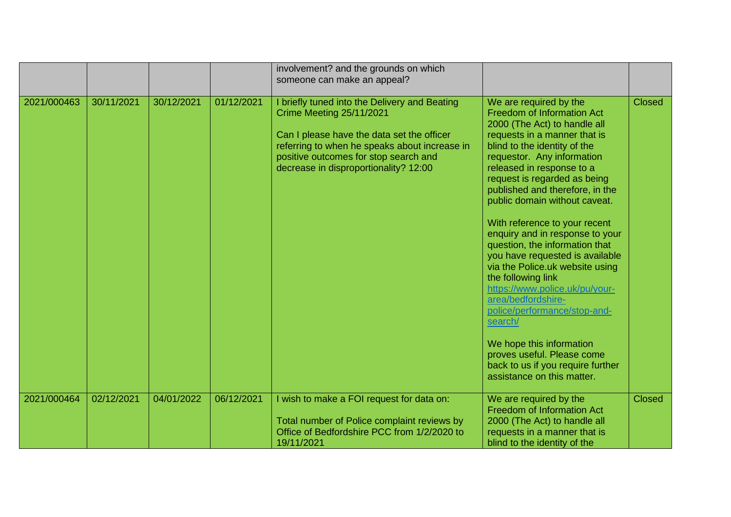|             |            |            |            | involvement? and the grounds on which<br>someone can make an appeal?                                                                                                                                                                                              |                                                                                                                                                                                                                                                                                                                                                                                                                                                                                                                                                                                                                          |               |
|-------------|------------|------------|------------|-------------------------------------------------------------------------------------------------------------------------------------------------------------------------------------------------------------------------------------------------------------------|--------------------------------------------------------------------------------------------------------------------------------------------------------------------------------------------------------------------------------------------------------------------------------------------------------------------------------------------------------------------------------------------------------------------------------------------------------------------------------------------------------------------------------------------------------------------------------------------------------------------------|---------------|
| 2021/000463 | 30/11/2021 | 30/12/2021 | 01/12/2021 | I briefly tuned into the Delivery and Beating<br><b>Crime Meeting 25/11/2021</b><br>Can I please have the data set the officer<br>referring to when he speaks about increase in<br>positive outcomes for stop search and<br>decrease in disproportionality? 12:00 | We are required by the<br>Freedom of Information Act<br>2000 (The Act) to handle all<br>requests in a manner that is<br>blind to the identity of the<br>requestor. Any information<br>released in response to a<br>request is regarded as being<br>published and therefore, in the<br>public domain without caveat.<br>With reference to your recent<br>enquiry and in response to your<br>question, the information that<br>you have requested is available<br>via the Police.uk website using<br>the following link<br>https://www.police.uk/pu/your-<br>area/bedfordshire-<br>police/performance/stop-and-<br>search/ | <b>Closed</b> |
|             |            |            |            |                                                                                                                                                                                                                                                                   | We hope this information<br>proves useful. Please come<br>back to us if you require further<br>assistance on this matter.                                                                                                                                                                                                                                                                                                                                                                                                                                                                                                |               |
| 2021/000464 | 02/12/2021 | 04/01/2022 | 06/12/2021 | I wish to make a FOI request for data on:<br>Total number of Police complaint reviews by<br>Office of Bedfordshire PCC from 1/2/2020 to<br>19/11/2021                                                                                                             | We are required by the<br><b>Freedom of Information Act</b><br>2000 (The Act) to handle all<br>requests in a manner that is<br>blind to the identity of the                                                                                                                                                                                                                                                                                                                                                                                                                                                              | <b>Closed</b> |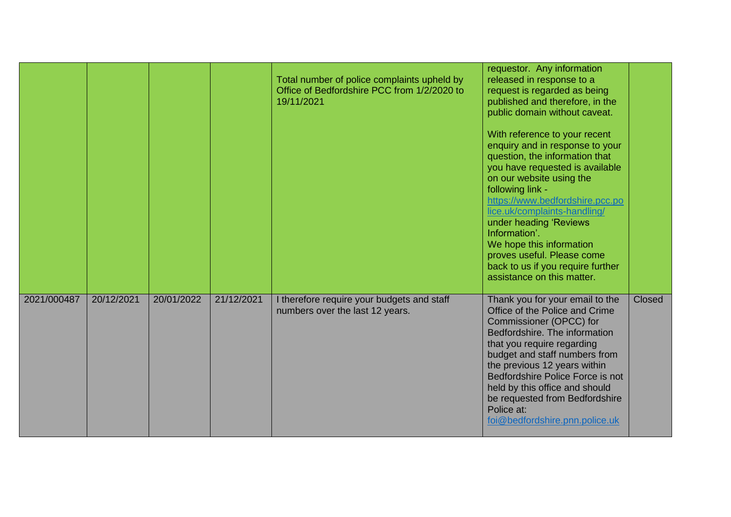|             |            |            |            | Total number of police complaints upheld by<br>Office of Bedfordshire PCC from 1/2/2020 to<br>19/11/2021 | requestor. Any information<br>released in response to a<br>request is regarded as being<br>published and therefore, in the<br>public domain without caveat.<br>With reference to your recent<br>enquiry and in response to your<br>question, the information that<br>you have requested is available<br>on our website using the<br>following link -<br>https://www.bedfordshire.pcc.po<br>lice.uk/complaints-handling/<br>under heading 'Reviews<br>Information'.<br>We hope this information<br>proves useful. Please come<br>back to us if you require further<br>assistance on this matter. |               |
|-------------|------------|------------|------------|----------------------------------------------------------------------------------------------------------|-------------------------------------------------------------------------------------------------------------------------------------------------------------------------------------------------------------------------------------------------------------------------------------------------------------------------------------------------------------------------------------------------------------------------------------------------------------------------------------------------------------------------------------------------------------------------------------------------|---------------|
| 2021/000487 | 20/12/2021 | 20/01/2022 | 21/12/2021 | I therefore require your budgets and staff<br>numbers over the last 12 years.                            | Thank you for your email to the<br>Office of the Police and Crime<br>Commissioner (OPCC) for<br>Bedfordshire. The information<br>that you require regarding<br>budget and staff numbers from<br>the previous 12 years within<br>Bedfordshire Police Force is not<br>held by this office and should<br>be requested from Bedfordshire<br>Police at:<br>foi@bedfordshire.pnn.police.uk                                                                                                                                                                                                            | <b>Closed</b> |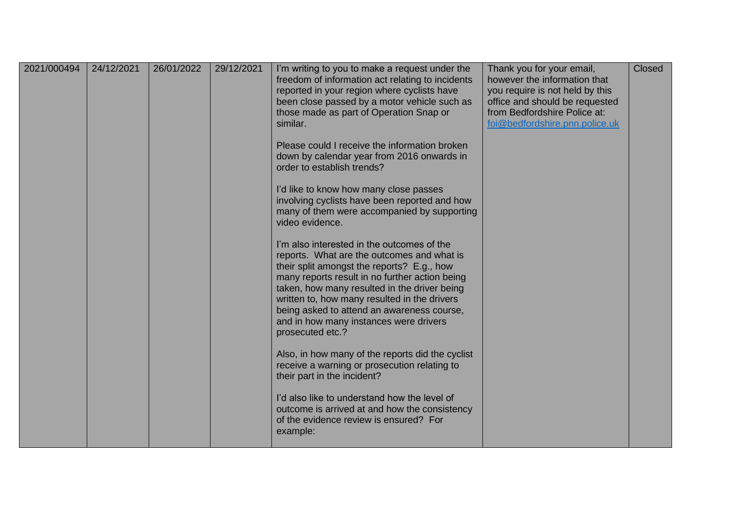| 2021/000494 | 24/12/2021 | 26/01/2022 | 29/12/2021 | I'm writing to you to make a request under the<br>freedom of information act relating to incidents<br>reported in your region where cyclists have<br>been close passed by a motor vehicle such as<br>those made as part of Operation Snap or<br>similar.<br>Please could I receive the information broken<br>down by calendar year from 2016 onwards in<br>order to establish trends?<br>I'd like to know how many close passes<br>involving cyclists have been reported and how<br>many of them were accompanied by supporting<br>video evidence.<br>I'm also interested in the outcomes of the<br>reports. What are the outcomes and what is<br>their split amongst the reports? E.g., how<br>many reports result in no further action being<br>taken, how many resulted in the driver being<br>written to, how many resulted in the drivers<br>being asked to attend an awareness course,<br>and in how many instances were drivers<br>prosecuted etc.?<br>Also, in how many of the reports did the cyclist<br>receive a warning or prosecution relating to<br>their part in the incident?<br>I'd also like to understand how the level of<br>outcome is arrived at and how the consistency<br>of the evidence review is ensured? For<br>example: | Thank you for your email,<br>however the information that<br>you require is not held by this<br>office and should be requested<br>from Bedfordshire Police at:<br>foi@bedfordshire.pnn.police.uk | Closed |
|-------------|------------|------------|------------|------------------------------------------------------------------------------------------------------------------------------------------------------------------------------------------------------------------------------------------------------------------------------------------------------------------------------------------------------------------------------------------------------------------------------------------------------------------------------------------------------------------------------------------------------------------------------------------------------------------------------------------------------------------------------------------------------------------------------------------------------------------------------------------------------------------------------------------------------------------------------------------------------------------------------------------------------------------------------------------------------------------------------------------------------------------------------------------------------------------------------------------------------------------------------------------------------------------------------------------------------|--------------------------------------------------------------------------------------------------------------------------------------------------------------------------------------------------|--------|
|             |            |            |            |                                                                                                                                                                                                                                                                                                                                                                                                                                                                                                                                                                                                                                                                                                                                                                                                                                                                                                                                                                                                                                                                                                                                                                                                                                                      |                                                                                                                                                                                                  |        |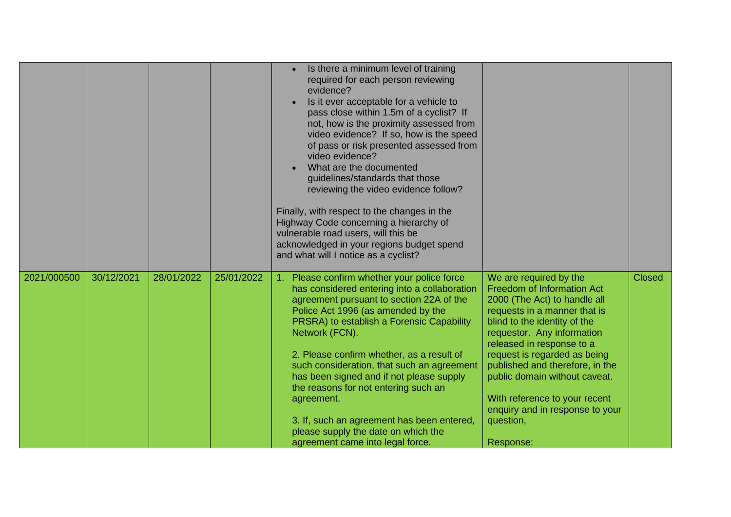|             |            |            |            | Is there a minimum level of training<br>required for each person reviewing<br>evidence?<br>Is it ever acceptable for a vehicle to<br>pass close within 1.5m of a cyclist? If<br>not, how is the proximity assessed from<br>video evidence? If so, how is the speed<br>of pass or risk presented assessed from<br>video evidence?<br>What are the documented<br>guidelines/standards that those<br>reviewing the video evidence follow?<br>Finally, with respect to the changes in the<br>Highway Code concerning a hierarchy of<br>vulnerable road users, will this be<br>acknowledged in your regions budget spend<br>and what will I notice as a cyclist? |                                                                                                                                                                                                                                                                                                                                                                                                                          |               |
|-------------|------------|------------|------------|-------------------------------------------------------------------------------------------------------------------------------------------------------------------------------------------------------------------------------------------------------------------------------------------------------------------------------------------------------------------------------------------------------------------------------------------------------------------------------------------------------------------------------------------------------------------------------------------------------------------------------------------------------------|--------------------------------------------------------------------------------------------------------------------------------------------------------------------------------------------------------------------------------------------------------------------------------------------------------------------------------------------------------------------------------------------------------------------------|---------------|
| 2021/000500 | 30/12/2021 | 28/01/2022 | 25/01/2022 | 1. Please confirm whether your police force<br>has considered entering into a collaboration<br>agreement pursuant to section 22A of the<br>Police Act 1996 (as amended by the<br>PRSRA) to establish a Forensic Capability<br>Network (FCN).<br>2. Please confirm whether, as a result of<br>such consideration, that such an agreement<br>has been signed and if not please supply<br>the reasons for not entering such an<br>agreement.<br>3. If, such an agreement has been entered,<br>please supply the date on which the<br>agreement came into legal force.                                                                                          | We are required by the<br><b>Freedom of Information Act</b><br>2000 (The Act) to handle all<br>requests in a manner that is<br>blind to the identity of the<br>requestor. Any information<br>released in response to a<br>request is regarded as being<br>published and therefore, in the<br>public domain without caveat.<br>With reference to your recent<br>enquiry and in response to your<br>question,<br>Response: | <b>Closed</b> |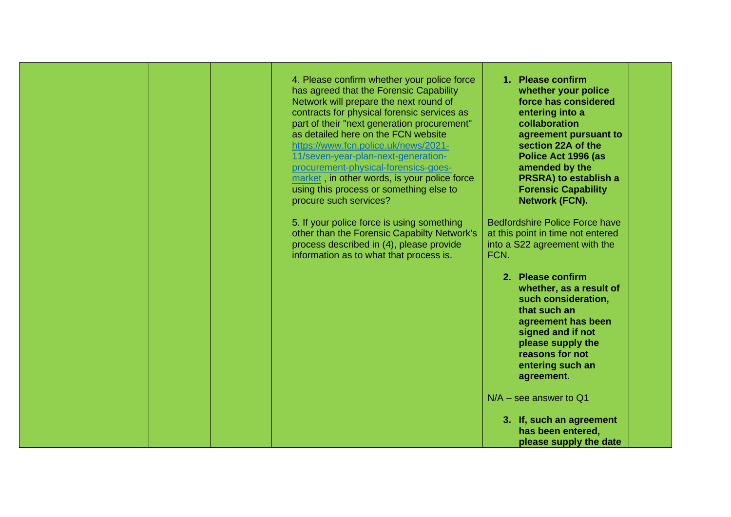|  |  | 4. Please confirm whether your police force<br>has agreed that the Forensic Capability<br>Network will prepare the next round of                                                                                                                                                                                                                    | 1. Please confirm<br>whether your police<br>force has considered                                                                                                                                         |
|--|--|-----------------------------------------------------------------------------------------------------------------------------------------------------------------------------------------------------------------------------------------------------------------------------------------------------------------------------------------------------|----------------------------------------------------------------------------------------------------------------------------------------------------------------------------------------------------------|
|  |  | contracts for physical forensic services as<br>part of their "next generation procurement"<br>as detailed here on the FCN website<br>https://www.fcn.police.uk/news/2021-<br>11/seven-year-plan-next-generation-<br>procurement-physical-forensics-goes-<br>market, in other words, is your police force<br>using this process or something else to | entering into a<br>collaboration<br>agreement pursuant to<br>section 22A of the<br>Police Act 1996 (as<br>amended by the<br><b>PRSRA) to establish a</b><br><b>Forensic Capability</b>                   |
|  |  | procure such services?                                                                                                                                                                                                                                                                                                                              | <b>Network (FCN).</b>                                                                                                                                                                                    |
|  |  | 5. If your police force is using something<br>other than the Forensic Capabilty Network's<br>process described in (4), please provide<br>information as to what that process is.                                                                                                                                                                    | <b>Bedfordshire Police Force have</b><br>at this point in time not entered<br>into a S22 agreement with the<br>FCN.                                                                                      |
|  |  |                                                                                                                                                                                                                                                                                                                                                     | 2. Please confirm<br>whether, as a result of<br>such consideration,<br>that such an<br>agreement has been<br>signed and if not<br>please supply the<br>reasons for not<br>entering such an<br>agreement. |
|  |  |                                                                                                                                                                                                                                                                                                                                                     | $N/A$ – see answer to Q1                                                                                                                                                                                 |
|  |  |                                                                                                                                                                                                                                                                                                                                                     | 3. If, such an agreement<br>has been entered,<br>please supply the date                                                                                                                                  |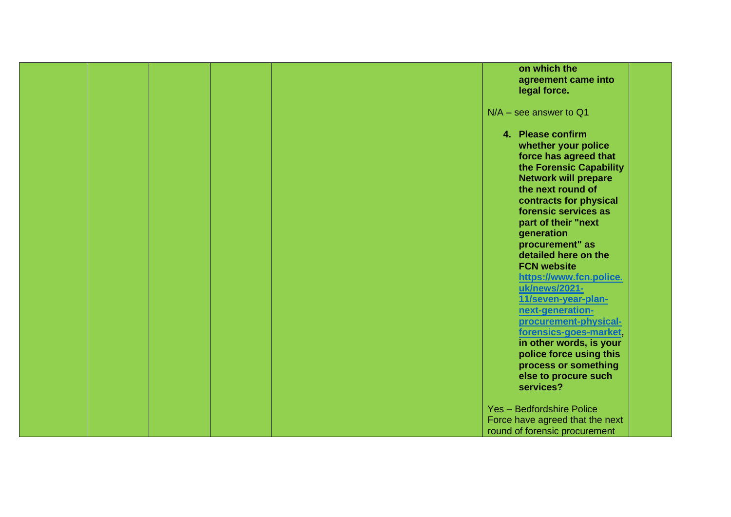|  |  | on which the                                                                                                                                                                                                                                                                                                                                                                                                                                                                                             |
|--|--|----------------------------------------------------------------------------------------------------------------------------------------------------------------------------------------------------------------------------------------------------------------------------------------------------------------------------------------------------------------------------------------------------------------------------------------------------------------------------------------------------------|
|  |  | agreement came into                                                                                                                                                                                                                                                                                                                                                                                                                                                                                      |
|  |  | legal force.                                                                                                                                                                                                                                                                                                                                                                                                                                                                                             |
|  |  |                                                                                                                                                                                                                                                                                                                                                                                                                                                                                                          |
|  |  | $N/A$ – see answer to Q1                                                                                                                                                                                                                                                                                                                                                                                                                                                                                 |
|  |  | 4. Please confirm<br>whether your police<br>force has agreed that<br>the Forensic Capability<br><b>Network will prepare</b><br>the next round of<br>contracts for physical<br>forensic services as<br>part of their "next<br>generation<br>procurement" as<br>detailed here on the<br><b>FCN website</b><br>https://www.fcn.police.<br>uk/news/2021-<br>11/seven-year-plan-<br>next-generation-<br>procurement-physical-<br>forensics-goes-market,<br>in other words, is your<br>police force using this |
|  |  | process or something                                                                                                                                                                                                                                                                                                                                                                                                                                                                                     |
|  |  | else to procure such                                                                                                                                                                                                                                                                                                                                                                                                                                                                                     |
|  |  | services?                                                                                                                                                                                                                                                                                                                                                                                                                                                                                                |
|  |  |                                                                                                                                                                                                                                                                                                                                                                                                                                                                                                          |
|  |  | Yes - Bedfordshire Police                                                                                                                                                                                                                                                                                                                                                                                                                                                                                |
|  |  | Force have agreed that the next                                                                                                                                                                                                                                                                                                                                                                                                                                                                          |
|  |  | round of forensic procurement                                                                                                                                                                                                                                                                                                                                                                                                                                                                            |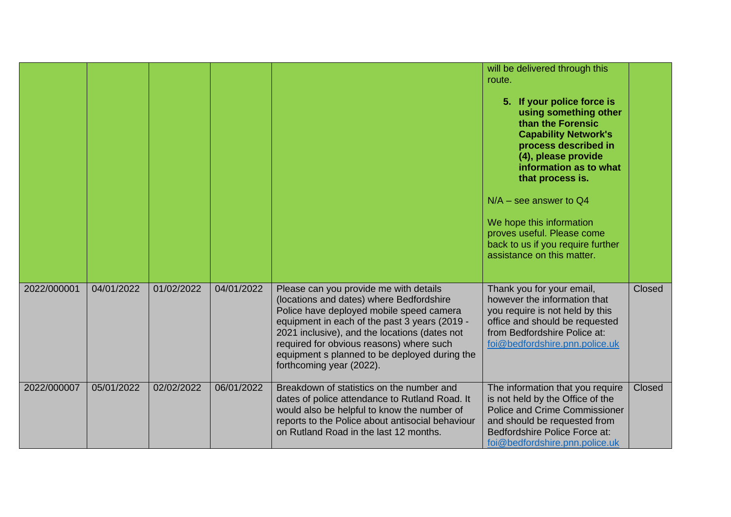|             |            |            |            |                                                                                                                                                                                                                                                                                                                                                           | will be delivered through this<br>route.<br>5. If your police force is<br>using something other<br>than the Forensic<br><b>Capability Network's</b><br>process described in<br>(4), please provide<br>information as to what<br>that process is.<br>$N/A$ – see answer to Q4<br>We hope this information<br>proves useful. Please come<br>back to us if you require further<br>assistance on this matter. |        |
|-------------|------------|------------|------------|-----------------------------------------------------------------------------------------------------------------------------------------------------------------------------------------------------------------------------------------------------------------------------------------------------------------------------------------------------------|-----------------------------------------------------------------------------------------------------------------------------------------------------------------------------------------------------------------------------------------------------------------------------------------------------------------------------------------------------------------------------------------------------------|--------|
| 2022/000001 | 04/01/2022 | 01/02/2022 | 04/01/2022 | Please can you provide me with details<br>(locations and dates) where Bedfordshire<br>Police have deployed mobile speed camera<br>equipment in each of the past 3 years (2019 -<br>2021 inclusive), and the locations (dates not<br>required for obvious reasons) where such<br>equipment s planned to be deployed during the<br>forthcoming year (2022). | Thank you for your email,<br>however the information that<br>you require is not held by this<br>office and should be requested<br>from Bedfordshire Police at:<br>foi@bedfordshire.pnn.police.uk                                                                                                                                                                                                          | Closed |
| 2022/000007 | 05/01/2022 | 02/02/2022 | 06/01/2022 | Breakdown of statistics on the number and<br>dates of police attendance to Rutland Road. It<br>would also be helpful to know the number of<br>reports to the Police about antisocial behaviour<br>on Rutland Road in the last 12 months.                                                                                                                  | The information that you require<br>is not held by the Office of the<br><b>Police and Crime Commissioner</b><br>and should be requested from<br>Bedfordshire Police Force at:<br>foi@bedfordshire.pnn.police.uk                                                                                                                                                                                           | Closed |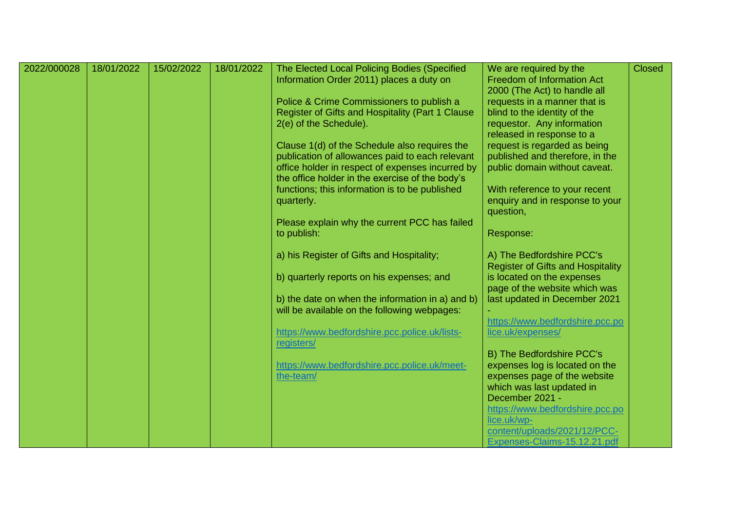| 2022/000028 | 18/01/2022 | 15/02/2022 | 18/01/2022 | The Elected Local Policing Bodies (Specified                                                        | We are required by the                       | <b>Closed</b> |
|-------------|------------|------------|------------|-----------------------------------------------------------------------------------------------------|----------------------------------------------|---------------|
|             |            |            |            | Information Order 2011) places a duty on                                                            | <b>Freedom of Information Act</b>            |               |
|             |            |            |            |                                                                                                     | 2000 (The Act) to handle all                 |               |
|             |            |            |            | Police & Crime Commissioners to publish a                                                           | requests in a manner that is                 |               |
|             |            |            |            | Register of Gifts and Hospitality (Part 1 Clause                                                    | blind to the identity of the                 |               |
|             |            |            |            | 2(e) of the Schedule).                                                                              | requestor. Any information                   |               |
|             |            |            |            |                                                                                                     | released in response to a                    |               |
|             |            |            |            | Clause 1(d) of the Schedule also requires the                                                       | request is regarded as being                 |               |
|             |            |            |            | publication of allowances paid to each relevant                                                     | published and therefore, in the              |               |
|             |            |            |            | office holder in respect of expenses incurred by<br>the office holder in the exercise of the body's | public domain without caveat.                |               |
|             |            |            |            | functions; this information is to be published                                                      | With reference to your recent                |               |
|             |            |            |            | quarterly.                                                                                          | enquiry and in response to your              |               |
|             |            |            |            |                                                                                                     | question,                                    |               |
|             |            |            |            | Please explain why the current PCC has failed                                                       |                                              |               |
|             |            |            |            | to publish:                                                                                         | Response:                                    |               |
|             |            |            |            | a) his Register of Gifts and Hospitality;                                                           | A) The Bedfordshire PCC's                    |               |
|             |            |            |            |                                                                                                     | <b>Register of Gifts and Hospitality</b>     |               |
|             |            |            |            | b) quarterly reports on his expenses; and                                                           | is located on the expenses                   |               |
|             |            |            |            |                                                                                                     | page of the website which was                |               |
|             |            |            |            | b) the date on when the information in a) and b)                                                    | last updated in December 2021                |               |
|             |            |            |            | will be available on the following webpages:                                                        |                                              |               |
|             |            |            |            |                                                                                                     | https://www.bedfordshire.pcc.po              |               |
|             |            |            |            | https://www.bedfordshire.pcc.police.uk/lists-                                                       | lice.uk/expenses/                            |               |
|             |            |            |            | registers/                                                                                          |                                              |               |
|             |            |            |            |                                                                                                     | B) The Bedfordshire PCC's                    |               |
|             |            |            |            | https://www.bedfordshire.pcc.police.uk/meet-                                                        | expenses log is located on the               |               |
|             |            |            |            | the-team/                                                                                           | expenses page of the website                 |               |
|             |            |            |            |                                                                                                     | which was last updated in<br>December 2021 - |               |
|             |            |            |            |                                                                                                     | https://www.bedfordshire.pcc.po              |               |
|             |            |            |            |                                                                                                     | lice.uk/wp-                                  |               |
|             |            |            |            |                                                                                                     | content/uploads/2021/12/PCC-                 |               |
|             |            |            |            |                                                                                                     | Expenses-Claims-15.12.21.pdf                 |               |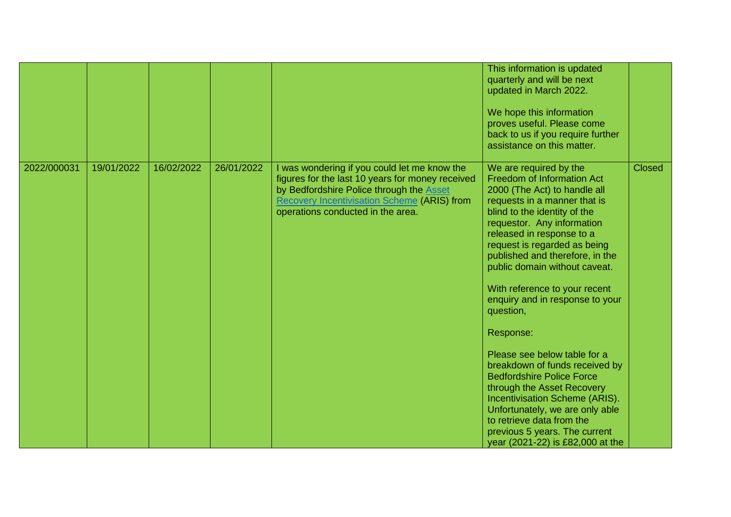|             |            |            |            |                                                                                                                                                                                                                                                | This information is updated<br>quarterly and will be next<br>updated in March 2022.<br>We hope this information<br>proves useful. Please come<br>back to us if you require further<br>assistance on this matter.                                                                                                                                                                                                                                                                                                                                                                                                                                                                                                                    |               |
|-------------|------------|------------|------------|------------------------------------------------------------------------------------------------------------------------------------------------------------------------------------------------------------------------------------------------|-------------------------------------------------------------------------------------------------------------------------------------------------------------------------------------------------------------------------------------------------------------------------------------------------------------------------------------------------------------------------------------------------------------------------------------------------------------------------------------------------------------------------------------------------------------------------------------------------------------------------------------------------------------------------------------------------------------------------------------|---------------|
| 2022/000031 | 19/01/2022 | 16/02/2022 | 26/01/2022 | I was wondering if you could let me know the<br>figures for the last 10 years for money received<br>by Bedfordshire Police through the <b>Asset</b><br><b>Recovery Incentivisation Scheme (ARIS) from</b><br>operations conducted in the area. | We are required by the<br><b>Freedom of Information Act</b><br>2000 (The Act) to handle all<br>requests in a manner that is<br>blind to the identity of the<br>requestor. Any information<br>released in response to a<br>request is regarded as being<br>published and therefore, in the<br>public domain without caveat.<br>With reference to your recent<br>enquiry and in response to your<br>question,<br>Response:<br>Please see below table for a<br>breakdown of funds received by<br><b>Bedfordshire Police Force</b><br>through the Asset Recovery<br>Incentivisation Scheme (ARIS).<br>Unfortunately, we are only able<br>to retrieve data from the<br>previous 5 years. The current<br>year (2021-22) is £82,000 at the | <b>Closed</b> |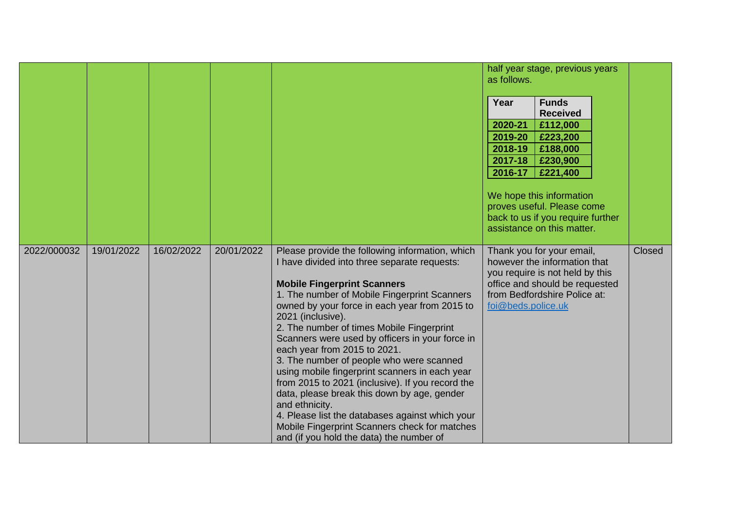|             |            |            |            |                                                                                                                                                                                                                                                                                                                                                                                                                                                                                                                                                                                                                                                                                                                                                                | half year stage, previous years<br>as follows.<br>Year<br><b>Funds</b><br><b>Received</b><br>2020-21<br>£112,000<br>2019-20<br>£223,200<br>2018-19<br>£188,000<br>2017-18<br>£230,900<br>2016-17<br>£221,400<br>We hope this information<br>proves useful. Please come<br>back to us if you require further<br>assistance on this matter. |               |
|-------------|------------|------------|------------|----------------------------------------------------------------------------------------------------------------------------------------------------------------------------------------------------------------------------------------------------------------------------------------------------------------------------------------------------------------------------------------------------------------------------------------------------------------------------------------------------------------------------------------------------------------------------------------------------------------------------------------------------------------------------------------------------------------------------------------------------------------|-------------------------------------------------------------------------------------------------------------------------------------------------------------------------------------------------------------------------------------------------------------------------------------------------------------------------------------------|---------------|
| 2022/000032 | 19/01/2022 | 16/02/2022 | 20/01/2022 | Please provide the following information, which<br>I have divided into three separate requests:<br><b>Mobile Fingerprint Scanners</b><br>1. The number of Mobile Fingerprint Scanners<br>owned by your force in each year from 2015 to<br>2021 (inclusive).<br>2. The number of times Mobile Fingerprint<br>Scanners were used by officers in your force in<br>each year from 2015 to 2021.<br>3. The number of people who were scanned<br>using mobile fingerprint scanners in each year<br>from 2015 to 2021 (inclusive). If you record the<br>data, please break this down by age, gender<br>and ethnicity.<br>4. Please list the databases against which your<br>Mobile Fingerprint Scanners check for matches<br>and (if you hold the data) the number of | Thank you for your email,<br>however the information that<br>you require is not held by this<br>office and should be requested<br>from Bedfordshire Police at:<br>foi@beds.police.uk                                                                                                                                                      | <b>Closed</b> |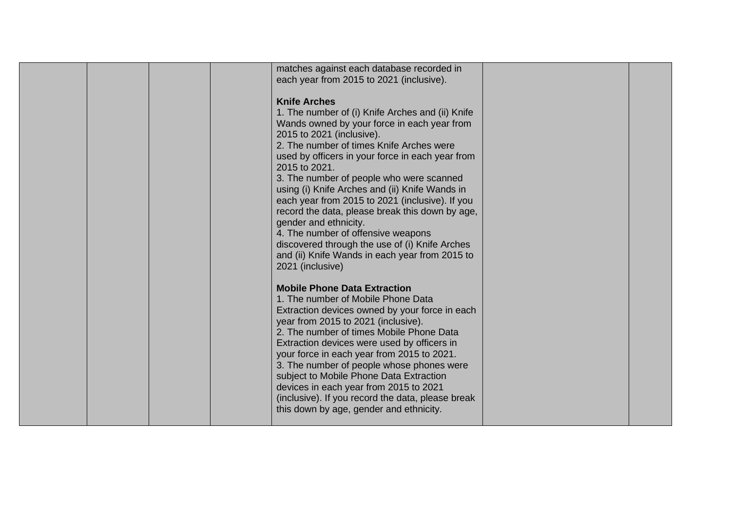|  |  | matches against each database recorded in<br>each year from 2015 to 2021 (inclusive).<br><b>Knife Arches</b><br>1. The number of (i) Knife Arches and (ii) Knife<br>Wands owned by your force in each year from<br>2015 to 2021 (inclusive).<br>2. The number of times Knife Arches were<br>used by officers in your force in each year from<br>2015 to 2021.                                                                                                                                                                                 |  |
|--|--|-----------------------------------------------------------------------------------------------------------------------------------------------------------------------------------------------------------------------------------------------------------------------------------------------------------------------------------------------------------------------------------------------------------------------------------------------------------------------------------------------------------------------------------------------|--|
|  |  | 3. The number of people who were scanned<br>using (i) Knife Arches and (ii) Knife Wands in<br>each year from 2015 to 2021 (inclusive). If you<br>record the data, please break this down by age,<br>gender and ethnicity.<br>4. The number of offensive weapons<br>discovered through the use of (i) Knife Arches<br>and (ii) Knife Wands in each year from 2015 to<br>2021 (inclusive)                                                                                                                                                       |  |
|  |  | <b>Mobile Phone Data Extraction</b><br>1. The number of Mobile Phone Data<br>Extraction devices owned by your force in each<br>year from 2015 to 2021 (inclusive).<br>2. The number of times Mobile Phone Data<br>Extraction devices were used by officers in<br>your force in each year from 2015 to 2021.<br>3. The number of people whose phones were<br>subject to Mobile Phone Data Extraction<br>devices in each year from 2015 to 2021<br>(inclusive). If you record the data, please break<br>this down by age, gender and ethnicity. |  |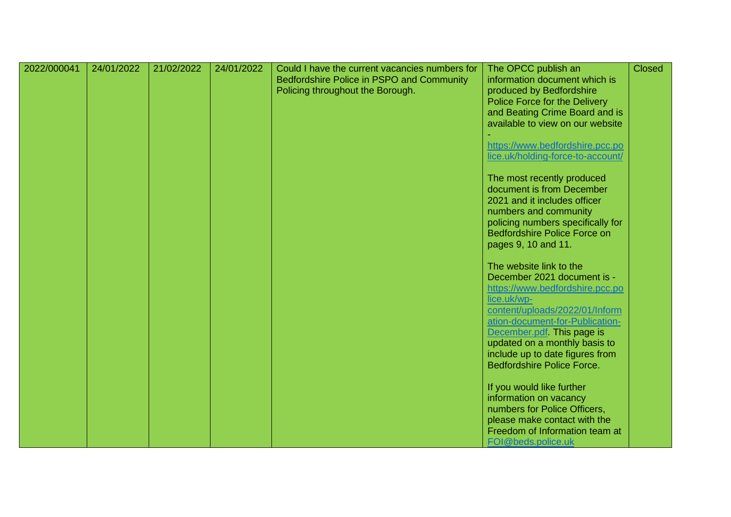| 2022/000041 | 24/01/2022 | 21/02/2022 | 24/01/2022 | Could I have the current vacancies numbers for<br>Bedfordshire Police in PSPO and Community<br>Policing throughout the Borough. | The OPCC publish an<br>information document which is<br>produced by Bedfordshire<br>Police Force for the Delivery<br>and Beating Crime Board and is<br>available to view on our website                                                                                                                             | <b>Closed</b> |
|-------------|------------|------------|------------|---------------------------------------------------------------------------------------------------------------------------------|---------------------------------------------------------------------------------------------------------------------------------------------------------------------------------------------------------------------------------------------------------------------------------------------------------------------|---------------|
|             |            |            |            |                                                                                                                                 | https://www.bedfordshire.pcc.po<br>lice.uk/holding-force-to-account/                                                                                                                                                                                                                                                |               |
|             |            |            |            |                                                                                                                                 | The most recently produced<br>document is from December<br>2021 and it includes officer<br>numbers and community<br>policing numbers specifically for<br><b>Bedfordshire Police Force on</b><br>pages 9, 10 and 11.                                                                                                 |               |
|             |            |            |            |                                                                                                                                 | The website link to the<br>December 2021 document is -<br>https://www.bedfordshire.pcc.po<br>lice.uk/wp-<br>content/uploads/2022/01/Inform<br>ation-document-for-Publication-<br>December.pdf This page is<br>updated on a monthly basis to<br>include up to date figures from<br><b>Bedfordshire Police Force.</b> |               |
|             |            |            |            |                                                                                                                                 | If you would like further<br>information on vacancy<br>numbers for Police Officers,<br>please make contact with the<br>Freedom of Information team at<br>FOI@beds.police.uk                                                                                                                                         |               |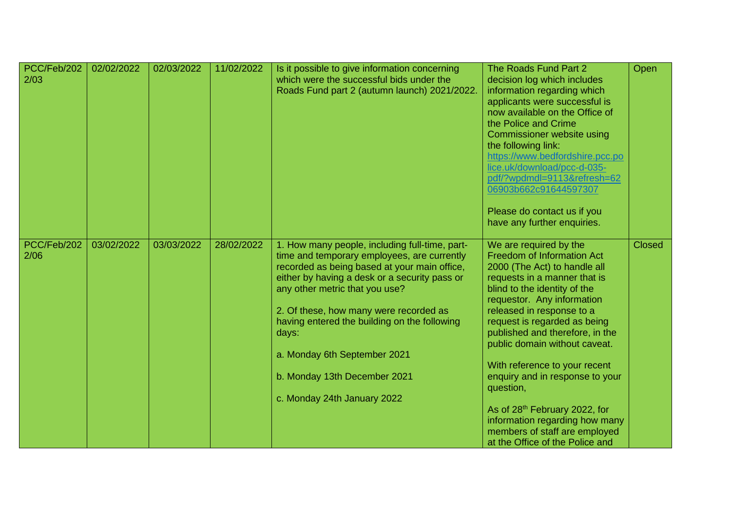| PCC/Feb/202<br>2/03 | 02/02/2022 | 02/03/2022 | 11/02/2022 | Is it possible to give information concerning<br>which were the successful bids under the<br>Roads Fund part 2 (autumn launch) 2021/2022.                                                                                                                                                                                                                                                                                          | The Roads Fund Part 2<br>decision log which includes<br>information regarding which<br>applicants were successful is<br>now available on the Office of<br>the Police and Crime<br>Commissioner website using<br>the following link:<br>https://www.bedfordshire.pcc.po<br>lice.uk/download/pcc-d-035-<br>pdf/?wpdmdl=9113&refresh=62<br>06903b662c91644597307<br>Please do contact us if you<br>have any further enquiries.                                                                                                                        | Open          |
|---------------------|------------|------------|------------|------------------------------------------------------------------------------------------------------------------------------------------------------------------------------------------------------------------------------------------------------------------------------------------------------------------------------------------------------------------------------------------------------------------------------------|----------------------------------------------------------------------------------------------------------------------------------------------------------------------------------------------------------------------------------------------------------------------------------------------------------------------------------------------------------------------------------------------------------------------------------------------------------------------------------------------------------------------------------------------------|---------------|
| PCC/Feb/202<br>2/06 | 03/02/2022 | 03/03/2022 | 28/02/2022 | 1. How many people, including full-time, part-<br>time and temporary employees, are currently<br>recorded as being based at your main office,<br>either by having a desk or a security pass or<br>any other metric that you use?<br>2. Of these, how many were recorded as<br>having entered the building on the following<br>days:<br>a. Monday 6th September 2021<br>b. Monday 13th December 2021<br>c. Monday 24th January 2022 | We are required by the<br><b>Freedom of Information Act</b><br>2000 (The Act) to handle all<br>requests in a manner that is<br>blind to the identity of the<br>requestor. Any information<br>released in response to a<br>request is regarded as being<br>published and therefore, in the<br>public domain without caveat.<br>With reference to your recent<br>enquiry and in response to your<br>question,<br>As of 28th February 2022, for<br>information regarding how many<br>members of staff are employed<br>at the Office of the Police and | <b>Closed</b> |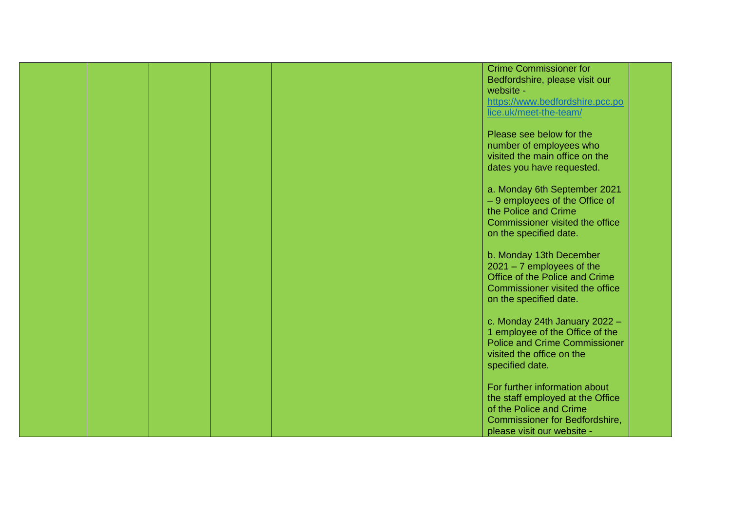|  |  | <b>Crime Commissioner for</b>         |  |
|--|--|---------------------------------------|--|
|  |  | Bedfordshire, please visit our        |  |
|  |  | website -                             |  |
|  |  |                                       |  |
|  |  | https://www.bedfordshire.pcc.po       |  |
|  |  | lice.uk/meet-the-team/                |  |
|  |  |                                       |  |
|  |  | Please see below for the              |  |
|  |  | number of employees who               |  |
|  |  | visited the main office on the        |  |
|  |  | dates you have requested.             |  |
|  |  |                                       |  |
|  |  | a. Monday 6th September 2021          |  |
|  |  | - 9 employees of the Office of        |  |
|  |  | the Police and Crime                  |  |
|  |  |                                       |  |
|  |  | Commissioner visited the office       |  |
|  |  | on the specified date.                |  |
|  |  |                                       |  |
|  |  | b. Monday 13th December               |  |
|  |  | $2021 - 7$ employees of the           |  |
|  |  | Office of the Police and Crime        |  |
|  |  | Commissioner visited the office       |  |
|  |  | on the specified date.                |  |
|  |  |                                       |  |
|  |  | c. Monday 24th January 2022 -         |  |
|  |  | 1 employee of the Office of the       |  |
|  |  | <b>Police and Crime Commissioner</b>  |  |
|  |  | visited the office on the             |  |
|  |  |                                       |  |
|  |  | specified date.                       |  |
|  |  |                                       |  |
|  |  | For further information about         |  |
|  |  | the staff employed at the Office      |  |
|  |  | of the Police and Crime               |  |
|  |  | <b>Commissioner for Bedfordshire,</b> |  |
|  |  | please visit our website -            |  |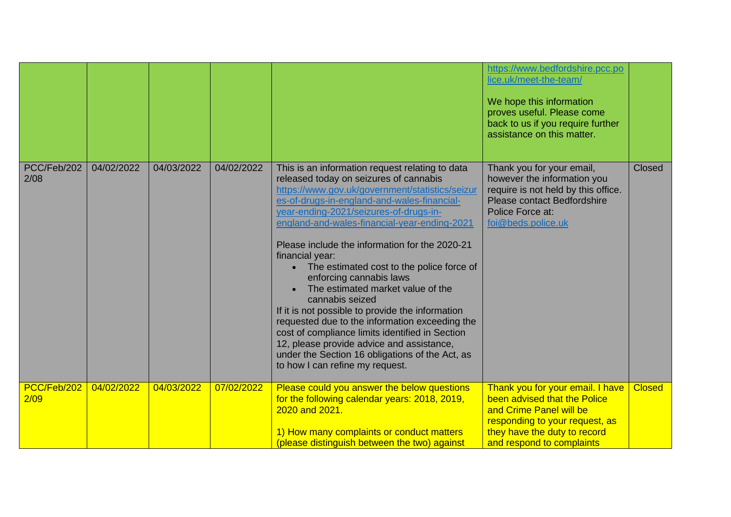|                     |            |            |            |                                                                                                                                                                                                                                                                                                                                                                                                                                                                                                                                                                                                                                                                                                                                                                                          | https://www.bedfordshire.pcc.po<br>lice.uk/meet-the-team/<br>We hope this information<br>proves useful. Please come<br>back to us if you require further<br>assistance on this matter.     |               |
|---------------------|------------|------------|------------|------------------------------------------------------------------------------------------------------------------------------------------------------------------------------------------------------------------------------------------------------------------------------------------------------------------------------------------------------------------------------------------------------------------------------------------------------------------------------------------------------------------------------------------------------------------------------------------------------------------------------------------------------------------------------------------------------------------------------------------------------------------------------------------|--------------------------------------------------------------------------------------------------------------------------------------------------------------------------------------------|---------------|
| PCC/Feb/202<br>2/08 | 04/02/2022 | 04/03/2022 | 04/02/2022 | This is an information request relating to data<br>released today on seizures of cannabis<br>https://www.gov.uk/government/statistics/seizur<br>es-of-drugs-in-england-and-wales-financial-<br>year-ending-2021/seizures-of-drugs-in-<br>england-and-wales-financial-year-ending-2021<br>Please include the information for the 2020-21<br>financial year:<br>• The estimated cost to the police force of<br>enforcing cannabis laws<br>The estimated market value of the<br>cannabis seized<br>If it is not possible to provide the information<br>requested due to the information exceeding the<br>cost of compliance limits identified in Section<br>12, please provide advice and assistance,<br>under the Section 16 obligations of the Act, as<br>to how I can refine my request. | Thank you for your email,<br>however the information you<br>require is not held by this office.<br>Please contact Bedfordshire<br>Police Force at:<br>foi@beds.police.uk                   | <b>Closed</b> |
| PCC/Feb/202<br>2/09 | 04/02/2022 | 04/03/2022 | 07/02/2022 | Please could you answer the below questions<br>for the following calendar years: 2018, 2019,<br>2020 and 2021.<br>1) How many complaints or conduct matters<br>(please distinguish between the two) against                                                                                                                                                                                                                                                                                                                                                                                                                                                                                                                                                                              | Thank you for your email. I have<br>been advised that the Police<br>and Crime Panel will be<br>responding to your request, as<br>they have the duty to record<br>and respond to complaints | <b>Closed</b> |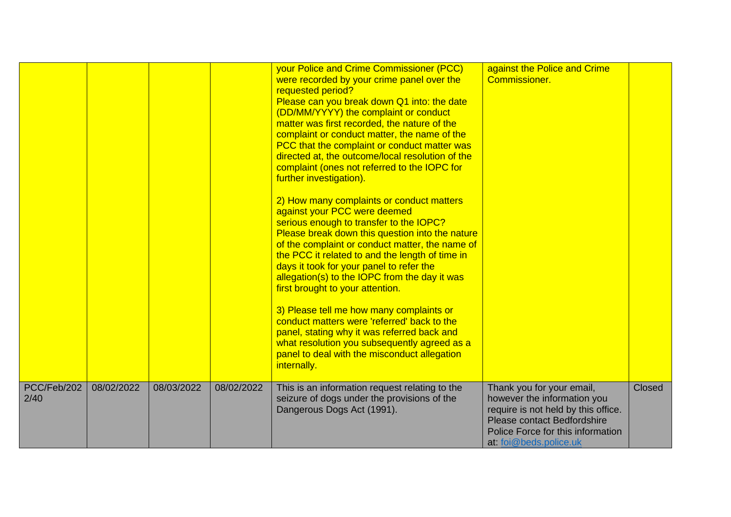|                     |            |            |            | your Police and Crime Commissioner (PCC)<br>were recorded by your crime panel over the<br>requested period?<br>Please can you break down Q1 into: the date<br>(DD/MM/YYYY) the complaint or conduct<br>matter was first recorded, the nature of the<br>complaint or conduct matter, the name of the<br>PCC that the complaint or conduct matter was<br>directed at, the outcome/local resolution of the<br>complaint (ones not referred to the IOPC for<br>further investigation).<br>2) How many complaints or conduct matters<br>against your PCC were deemed<br>serious enough to transfer to the IOPC?<br>Please break down this question into the nature<br>of the complaint or conduct matter, the name of<br>the PCC it related to and the length of time in<br>days it took for your panel to refer the<br>allegation(s) to the IOPC from the day it was<br>first brought to your attention.<br>3) Please tell me how many complaints or<br>conduct matters were 'referred' back to the<br>panel, stating why it was referred back and<br>what resolution you subsequently agreed as a<br>panel to deal with the misconduct allegation<br>internally. | against the Police and Crime<br><b>Commissioner</b> .                                                                                                                                         |               |
|---------------------|------------|------------|------------|---------------------------------------------------------------------------------------------------------------------------------------------------------------------------------------------------------------------------------------------------------------------------------------------------------------------------------------------------------------------------------------------------------------------------------------------------------------------------------------------------------------------------------------------------------------------------------------------------------------------------------------------------------------------------------------------------------------------------------------------------------------------------------------------------------------------------------------------------------------------------------------------------------------------------------------------------------------------------------------------------------------------------------------------------------------------------------------------------------------------------------------------------------------|-----------------------------------------------------------------------------------------------------------------------------------------------------------------------------------------------|---------------|
| PCC/Feb/202<br>2/40 | 08/02/2022 | 08/03/2022 | 08/02/2022 | This is an information request relating to the<br>seizure of dogs under the provisions of the<br>Dangerous Dogs Act (1991).                                                                                                                                                                                                                                                                                                                                                                                                                                                                                                                                                                                                                                                                                                                                                                                                                                                                                                                                                                                                                                   | Thank you for your email,<br>however the information you<br>require is not held by this office.<br>Please contact Bedfordshire<br>Police Force for this information<br>at: foi@beds.police.uk | <b>Closed</b> |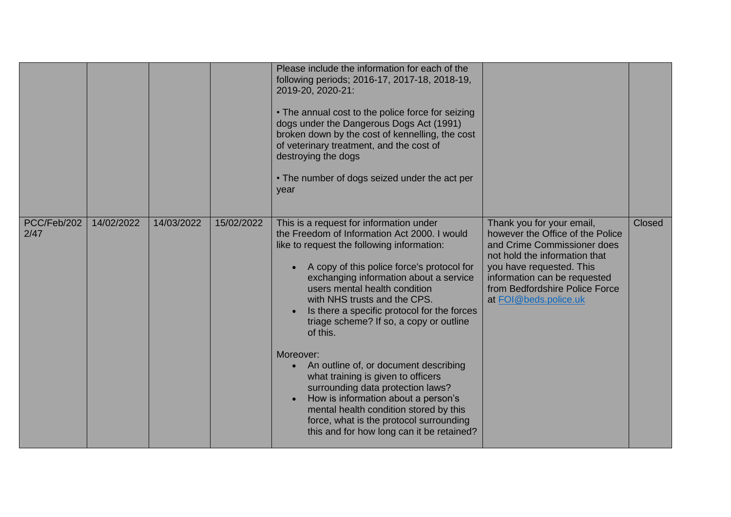|                     |            |            |            | Please include the information for each of the<br>following periods; 2016-17, 2017-18, 2018-19,<br>2019-20, 2020-21:<br>• The annual cost to the police force for seizing<br>dogs under the Dangerous Dogs Act (1991)<br>broken down by the cost of kennelling, the cost<br>of veterinary treatment, and the cost of<br>destroying the dogs<br>• The number of dogs seized under the act per<br>year                                                                                                                                                                                                                                                                                                                        |                                                                                                                                                                                                                                                      |               |
|---------------------|------------|------------|------------|-----------------------------------------------------------------------------------------------------------------------------------------------------------------------------------------------------------------------------------------------------------------------------------------------------------------------------------------------------------------------------------------------------------------------------------------------------------------------------------------------------------------------------------------------------------------------------------------------------------------------------------------------------------------------------------------------------------------------------|------------------------------------------------------------------------------------------------------------------------------------------------------------------------------------------------------------------------------------------------------|---------------|
| PCC/Feb/202<br>2/47 | 14/02/2022 | 14/03/2022 | 15/02/2022 | This is a request for information under<br>the Freedom of Information Act 2000. I would<br>like to request the following information:<br>A copy of this police force's protocol for<br>exchanging information about a service<br>users mental health condition<br>with NHS trusts and the CPS.<br>Is there a specific protocol for the forces<br>triage scheme? If so, a copy or outline<br>of this.<br>Moreover:<br>An outline of, or document describing<br>$\bullet$<br>what training is given to officers<br>surrounding data protection laws?<br>How is information about a person's<br>mental health condition stored by this<br>force, what is the protocol surrounding<br>this and for how long can it be retained? | Thank you for your email,<br>however the Office of the Police<br>and Crime Commissioner does<br>not hold the information that<br>you have requested. This<br>information can be requested<br>from Bedfordshire Police Force<br>at FOI@beds.police.uk | <b>Closed</b> |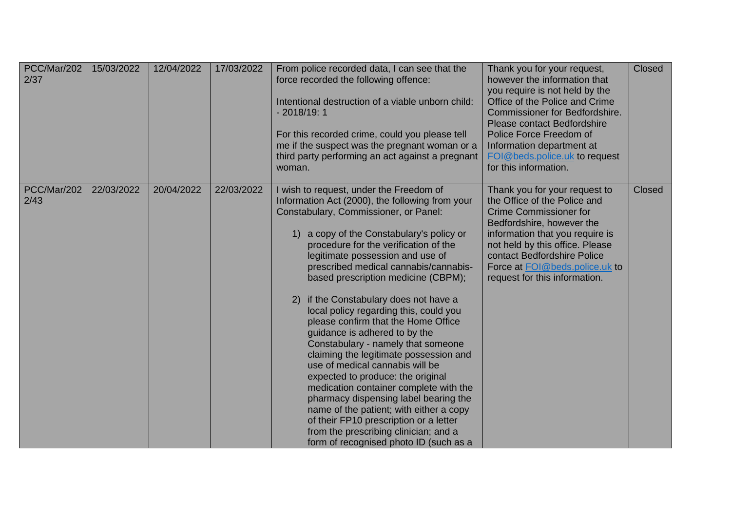| PCC/Mar/202<br>2/37 | 15/03/2022 | 12/04/2022 | 17/03/2022 | From police recorded data, I can see that the<br>force recorded the following offence:<br>Intentional destruction of a viable unborn child:<br>$-2018/19:1$<br>For this recorded crime, could you please tell<br>me if the suspect was the pregnant woman or a<br>third party performing an act against a pregnant<br>woman.                                                                                                                                                                                                                                                                                                                                                                                                                                                                                                                                                                                                 | Thank you for your request,<br>however the information that<br>you require is not held by the<br>Office of the Police and Crime<br><b>Commissioner for Bedfordshire.</b><br><b>Please contact Bedfordshire</b><br>Police Force Freedom of<br>Information department at<br>FOI@beds.police.uk to request<br>for this information. | Closed        |
|---------------------|------------|------------|------------|------------------------------------------------------------------------------------------------------------------------------------------------------------------------------------------------------------------------------------------------------------------------------------------------------------------------------------------------------------------------------------------------------------------------------------------------------------------------------------------------------------------------------------------------------------------------------------------------------------------------------------------------------------------------------------------------------------------------------------------------------------------------------------------------------------------------------------------------------------------------------------------------------------------------------|----------------------------------------------------------------------------------------------------------------------------------------------------------------------------------------------------------------------------------------------------------------------------------------------------------------------------------|---------------|
| PCC/Mar/202<br>2/43 | 22/03/2022 | 20/04/2022 | 22/03/2022 | I wish to request, under the Freedom of<br>Information Act (2000), the following from your<br>Constabulary, Commissioner, or Panel:<br>1) a copy of the Constabulary's policy or<br>procedure for the verification of the<br>legitimate possession and use of<br>prescribed medical cannabis/cannabis-<br>based prescription medicine (CBPM);<br>2) if the Constabulary does not have a<br>local policy regarding this, could you<br>please confirm that the Home Office<br>guidance is adhered to by the<br>Constabulary - namely that someone<br>claiming the legitimate possession and<br>use of medical cannabis will be<br>expected to produce: the original<br>medication container complete with the<br>pharmacy dispensing label bearing the<br>name of the patient; with either a copy<br>of their FP10 prescription or a letter<br>from the prescribing clinician; and a<br>form of recognised photo ID (such as a | Thank you for your request to<br>the Office of the Police and<br><b>Crime Commissioner for</b><br>Bedfordshire, however the<br>information that you require is<br>not held by this office. Please<br>contact Bedfordshire Police<br>Force at FOI@beds.police.uk to<br>request for this information.                              | <b>Closed</b> |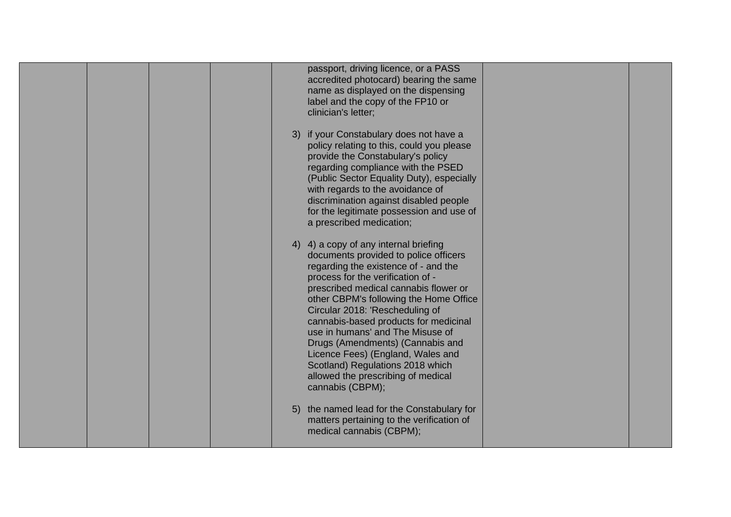| passport, driving licence, or a PASS<br>accredited photocard) bearing the same<br>name as displayed on the dispensing<br>label and the copy of the FP10 or<br>clinician's letter;                                                                                                                                                                                                                                                                                                                                                     |  |
|---------------------------------------------------------------------------------------------------------------------------------------------------------------------------------------------------------------------------------------------------------------------------------------------------------------------------------------------------------------------------------------------------------------------------------------------------------------------------------------------------------------------------------------|--|
| 3) if your Constabulary does not have a<br>policy relating to this, could you please<br>provide the Constabulary's policy<br>regarding compliance with the PSED<br>(Public Sector Equality Duty), especially<br>with regards to the avoidance of<br>discrimination against disabled people<br>for the legitimate possession and use of<br>a prescribed medication;                                                                                                                                                                    |  |
| 4) 4) a copy of any internal briefing<br>documents provided to police officers<br>regarding the existence of - and the<br>process for the verification of -<br>prescribed medical cannabis flower or<br>other CBPM's following the Home Office<br>Circular 2018: 'Rescheduling of<br>cannabis-based products for medicinal<br>use in humans' and The Misuse of<br>Drugs (Amendments) (Cannabis and<br>Licence Fees) (England, Wales and<br>Scotland) Regulations 2018 which<br>allowed the prescribing of medical<br>cannabis (CBPM); |  |
| 5) the named lead for the Constabulary for<br>matters pertaining to the verification of<br>medical cannabis (CBPM);                                                                                                                                                                                                                                                                                                                                                                                                                   |  |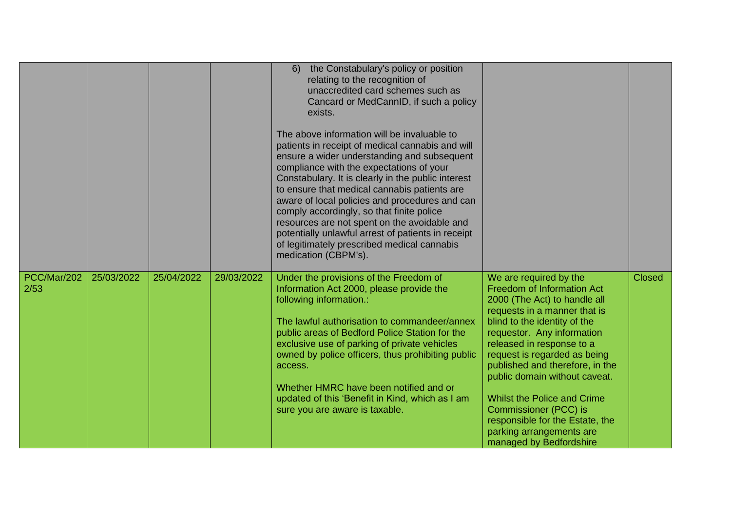|                     |            |            |            | the Constabulary's policy or position<br>6)<br>relating to the recognition of<br>unaccredited card schemes such as<br>Cancard or MedCannID, if such a policy<br>exists.<br>The above information will be invaluable to<br>patients in receipt of medical cannabis and will<br>ensure a wider understanding and subsequent<br>compliance with the expectations of your<br>Constabulary. It is clearly in the public interest<br>to ensure that medical cannabis patients are<br>aware of local policies and procedures and can<br>comply accordingly, so that finite police<br>resources are not spent on the avoidable and<br>potentially unlawful arrest of patients in receipt<br>of legitimately prescribed medical cannabis<br>medication (CBPM's). |                                                                                                                                                                                                                                                                                                                                                                                                                                                                                            |               |
|---------------------|------------|------------|------------|---------------------------------------------------------------------------------------------------------------------------------------------------------------------------------------------------------------------------------------------------------------------------------------------------------------------------------------------------------------------------------------------------------------------------------------------------------------------------------------------------------------------------------------------------------------------------------------------------------------------------------------------------------------------------------------------------------------------------------------------------------|--------------------------------------------------------------------------------------------------------------------------------------------------------------------------------------------------------------------------------------------------------------------------------------------------------------------------------------------------------------------------------------------------------------------------------------------------------------------------------------------|---------------|
| PCC/Mar/202<br>2/53 | 25/03/2022 | 25/04/2022 | 29/03/2022 | Under the provisions of the Freedom of<br>Information Act 2000, please provide the<br>following information.:<br>The lawful authorisation to commandeer/annex<br>public areas of Bedford Police Station for the<br>exclusive use of parking of private vehicles<br>owned by police officers, thus prohibiting public<br>access.<br>Whether HMRC have been notified and or<br>updated of this 'Benefit in Kind, which as I am<br>sure you are aware is taxable.                                                                                                                                                                                                                                                                                          | We are required by the<br><b>Freedom of Information Act</b><br>2000 (The Act) to handle all<br>requests in a manner that is<br>blind to the identity of the<br>requestor. Any information<br>released in response to a<br>request is regarded as being<br>published and therefore, in the<br>public domain without caveat.<br><b>Whilst the Police and Crime</b><br><b>Commissioner (PCC) is</b><br>responsible for the Estate, the<br>parking arrangements are<br>managed by Bedfordshire | <b>Closed</b> |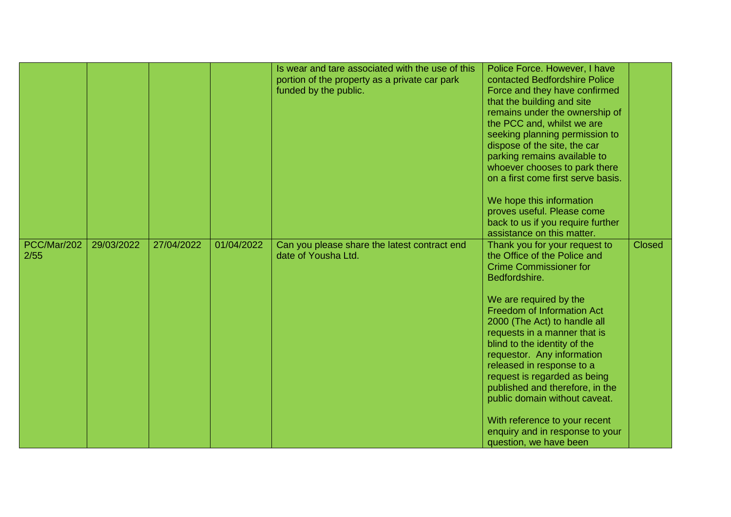|                     |            |            |            | Is wear and tare associated with the use of this<br>portion of the property as a private car park<br>funded by the public. | Police Force. However, I have<br>contacted Bedfordshire Police<br>Force and they have confirmed<br>that the building and site<br>remains under the ownership of<br>the PCC and, whilst we are<br>seeking planning permission to<br>dispose of the site, the car<br>parking remains available to<br>whoever chooses to park there<br>on a first come first serve basis.<br>We hope this information<br>proves useful. Please come<br>back to us if you require further<br>assistance on this matter.                                         |               |
|---------------------|------------|------------|------------|----------------------------------------------------------------------------------------------------------------------------|---------------------------------------------------------------------------------------------------------------------------------------------------------------------------------------------------------------------------------------------------------------------------------------------------------------------------------------------------------------------------------------------------------------------------------------------------------------------------------------------------------------------------------------------|---------------|
| PCC/Mar/202<br>2/55 | 29/03/2022 | 27/04/2022 | 01/04/2022 | Can you please share the latest contract end<br>date of Yousha Ltd.                                                        | Thank you for your request to<br>the Office of the Police and<br><b>Crime Commissioner for</b><br>Bedfordshire.<br>We are required by the<br><b>Freedom of Information Act</b><br>2000 (The Act) to handle all<br>requests in a manner that is<br>blind to the identity of the<br>requestor. Any information<br>released in response to a<br>request is regarded as being<br>published and therefore, in the<br>public domain without caveat.<br>With reference to your recent<br>enquiry and in response to your<br>question, we have been | <b>Closed</b> |